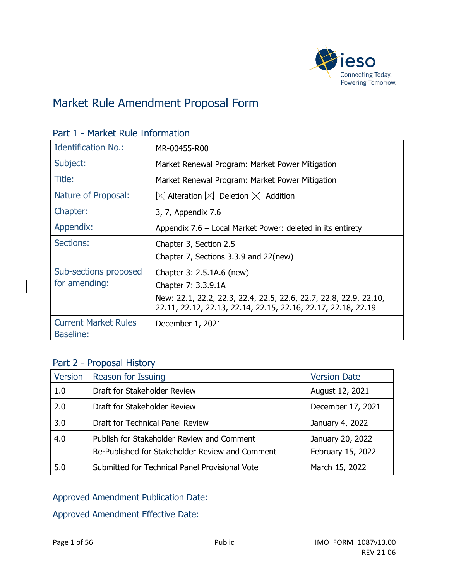

# Market Rule Amendment Proposal Form

| <b>Identification No.:</b>                      | MR-00455-R00                                                                                                                       |  |
|-------------------------------------------------|------------------------------------------------------------------------------------------------------------------------------------|--|
| Subject:                                        | Market Renewal Program: Market Power Mitigation                                                                                    |  |
| Title:                                          | Market Renewal Program: Market Power Mitigation                                                                                    |  |
| Nature of Proposal:                             | $\boxtimes$ Alteration $\boxtimes$ Deletion $\boxtimes$ Addition                                                                   |  |
| Chapter:                                        | 3, 7, Appendix 7.6                                                                                                                 |  |
| Appendix:                                       | Appendix 7.6 – Local Market Power: deleted in its entirety                                                                         |  |
| Sections:                                       | Chapter 3, Section 2.5<br>Chapter 7, Sections 3.3.9 and 22(new)                                                                    |  |
|                                                 |                                                                                                                                    |  |
| Sub-sections proposed                           | Chapter 3: 2.5.1A.6 (new)                                                                                                          |  |
| for amending:                                   | Chapter 7: 3.3.9.1A                                                                                                                |  |
|                                                 | New: 22.1, 22.2, 22.3, 22.4, 22.5, 22.6, 22.7, 22.8, 22.9, 22.10,<br>22.11, 22.12, 22.13, 22.14, 22.15, 22.16, 22.17, 22.18, 22.19 |  |
| <b>Current Market Rules</b><br><b>Baseline:</b> | December 1, 2021                                                                                                                   |  |

#### Part 1 - Market Rule Information

#### Part 2 - Proposal History

| Version | Reason for Issuing                                                                            | <b>Version Date</b>                   |
|---------|-----------------------------------------------------------------------------------------------|---------------------------------------|
| 1.0     | Draft for Stakeholder Review                                                                  | August 12, 2021                       |
| 2.0     | Draft for Stakeholder Review                                                                  | December 17, 2021                     |
| 3.0     | Draft for Technical Panel Review                                                              | January 4, 2022                       |
| 4.0     | Publish for Stakeholder Review and Comment<br>Re-Published for Stakeholder Review and Comment | January 20, 2022<br>February 15, 2022 |
| 5.0     | Submitted for Technical Panel Provisional Vote                                                | March 15, 2022                        |

### Approved Amendment Publication Date:

Approved Amendment Effective Date: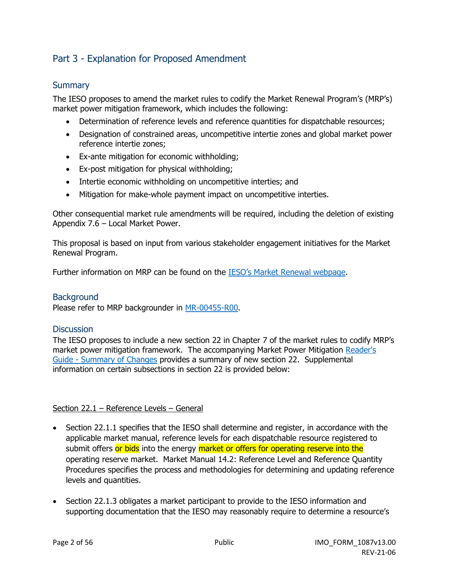### Part 3 - Explanation for Proposed Amendment

#### **Summary**

The IESO proposes to amend the market rules to codify the Market Renewal Program's (MRP's) market power mitigation framework, which includes the following:

- Determination of reference levels and reference quantities for dispatchable resources;
- Designation of constrained areas, uncompetitive intertie zones and global market power reference intertie zones;
- Ex-ante mitigation for economic withholding;
- Ex-post mitigation for physical withholding;
- Intertie economic withholding on uncompetitive interties; and
- Mitigation for make-whole payment impact on uncompetitive interties.

Other consequential market rule amendments will be required, including the deletion of existing Appendix 7.6 – Local Market Power.

This proposal is based on input from various stakeholder engagement initiatives for the Market Renewal Program.

Further information on MRP can be found on the [IESO's Market Renewal webpage.](http://www.ieso.ca/Market-Renewal)

#### **Background**

Please refer to MRP backgrounder in [MR-00455-R00.](https://www.ieso.ca/-/media/Files/IESO/Document-Library/tp/2021/iesotp-20210422-MR_00450_R00-MRP-Participant-Authorization.ashx)

#### **Discussion**

The IESO proposes to include a new section 22 in Chapter 7 of the market rules to codify MRP's market power mitigation framework. The accompanying Market Power Mitigation [Reader's](https://www.ieso.ca/-/media/Files/IESO/Document-Library/engage/imrm/batch-2-summary-of-market-rule-changes.ashx)  [Guide - Summary of Changes](https://www.ieso.ca/-/media/Files/IESO/Document-Library/engage/imrm/batch-2-summary-of-market-rule-changes.ashx) provides a summary of new section 22. Supplemental information on certain subsections in section 22 is provided below:

#### Section 22.1 – Reference Levels – General

- Section 22.1.1 specifies that the IESO shall determine and register, in accordance with the applicable market manual, reference levels for each dispatchable resource registered to submit offers or bids into the energy market or offers for operating reserve into the operating reserve market. Market Manual 14.2: Reference Level and Reference Quantity Procedures specifies the process and methodologies for determining and updating reference levels and quantities.
- Section 22.1.3 obligates a market participant to provide to the IESO information and supporting documentation that the IESO may reasonably require to determine a resource's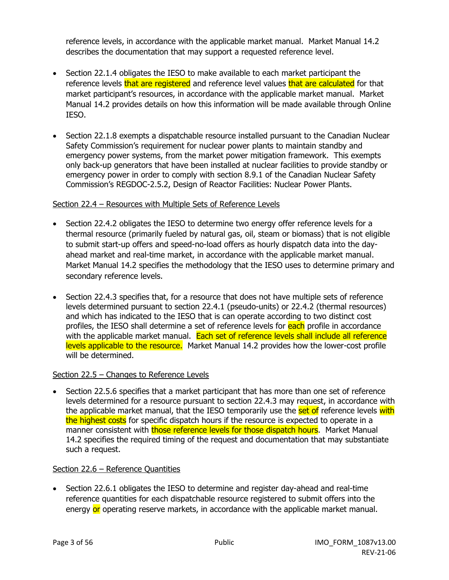reference levels, in accordance with the applicable market manual. Market Manual 14.2 describes the documentation that may support a requested reference level.

- Section 22.1.4 obligates the IESO to make available to each market participant the reference levels that are registered and reference level values that are calculated for that market participant's resources, in accordance with the applicable market manual. Market Manual 14.2 provides details on how this information will be made available through Online IESO.
- Section 22.1.8 exempts a dispatchable resource installed pursuant to the Canadian Nuclear Safety Commission's requirement for nuclear power plants to maintain standby and emergency power systems, from the market power mitigation framework. This exempts only back-up generators that have been installed at nuclear facilities to provide standby or emergency power in order to comply with section 8.9.1 of the Canadian Nuclear Safety Commission's REGDOC-2.5.2, Design of Reactor Facilities: Nuclear Power Plants.

#### Section 22.4 – Resources with Multiple Sets of Reference Levels

- Section 22.4.2 obligates the IESO to determine two energy offer reference levels for a thermal resource (primarily fueled by natural gas, oil, steam or biomass) that is not eligible to submit start-up offers and speed-no-load offers as hourly dispatch data into the dayahead market and real-time market, in accordance with the applicable market manual. Market Manual 14.2 specifies the methodology that the IESO uses to determine primary and secondary reference levels.
- Section 22.4.3 specifies that, for a resource that does not have multiple sets of reference levels determined pursuant to section 22.4.1 (pseudo-units) or 22.4.2 (thermal resources) and which has indicated to the IESO that is can operate according to two distinct cost profiles, the IESO shall determine a set of reference levels for each profile in accordance with the applicable market manual. Each set of reference levels shall include all reference levels applicable to the resource. Market Manual 14.2 provides how the lower-cost profile will be determined.

#### Section 22.5 – Changes to Reference Levels

• Section 22.5.6 specifies that a market participant that has more than one set of reference levels determined for a resource pursuant to section 22.4.3 may request, in accordance with the applicable market manual, that the IESO temporarily use the set of reference levels with the highest costs for specific dispatch hours if the resource is expected to operate in a manner consistent with those reference levels for those dispatch hours. Market Manual 14.2 specifies the required timing of the request and documentation that may substantiate such a request.

#### Section 22.6 – Reference Quantities

• Section 22.6.1 obligates the IESO to determine and register day-ahead and real-time reference quantities for each dispatchable resource registered to submit offers into the energy or operating reserve markets, in accordance with the applicable market manual.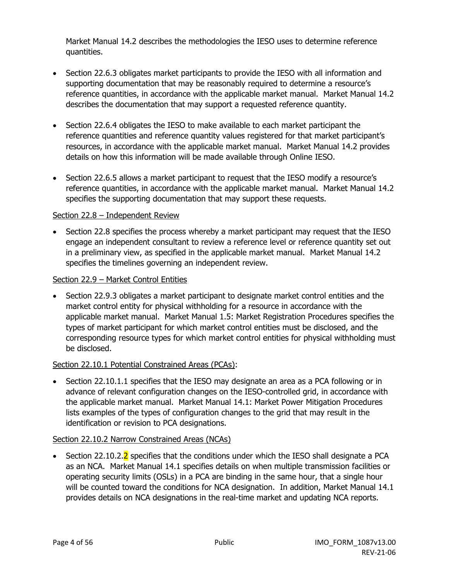Market Manual 14.2 describes the methodologies the IESO uses to determine reference quantities.

- Section 22.6.3 obligates market participants to provide the IESO with all information and supporting documentation that may be reasonably required to determine a resource's reference quantities, in accordance with the applicable market manual. Market Manual 14.2 describes the documentation that may support a requested reference quantity.
- Section 22.6.4 obligates the IESO to make available to each market participant the reference quantities and reference quantity values registered for that market participant's resources, in accordance with the applicable market manual. Market Manual 14.2 provides details on how this information will be made available through Online IESO.
- Section 22.6.5 allows a market participant to request that the IESO modify a resource's reference quantities, in accordance with the applicable market manual. Market Manual 14.2 specifies the supporting documentation that may support these requests.

#### Section 22.8 – Independent Review

• Section 22.8 specifies the process whereby a market participant may request that the IESO engage an independent consultant to review a reference level or reference quantity set out in a preliminary view, as specified in the applicable market manual. Market Manual 14.2 specifies the timelines governing an independent review.

#### Section 22.9 – Market Control Entities

• Section 22.9.3 obligates a market participant to designate market control entities and the market control entity for physical withholding for a resource in accordance with the applicable market manual. Market Manual 1.5: Market Registration Procedures specifies the types of market participant for which market control entities must be disclosed, and the corresponding resource types for which market control entities for physical withholding must be disclosed.

#### Section 22.10.1 Potential Constrained Areas (PCAs):

• Section 22.10.1.1 specifies that the IESO may designate an area as a PCA following or in advance of relevant configuration changes on the IESO-controlled grid, in accordance with the applicable market manual. Market Manual 14.1: Market Power Mitigation Procedures lists examples of the types of configuration changes to the grid that may result in the identification or revision to PCA designations.

#### Section 22.10.2 Narrow Constrained Areas (NCAs)

• Section 22.10.2.<sup>2</sup> specifies that the conditions under which the IESO shall designate a PCA as an NCA. Market Manual 14.1 specifies details on when multiple transmission facilities or operating security limits (OSLs) in a PCA are binding in the same hour, that a single hour will be counted toward the conditions for NCA designation. In addition, Market Manual 14.1 provides details on NCA designations in the real-time market and updating NCA reports.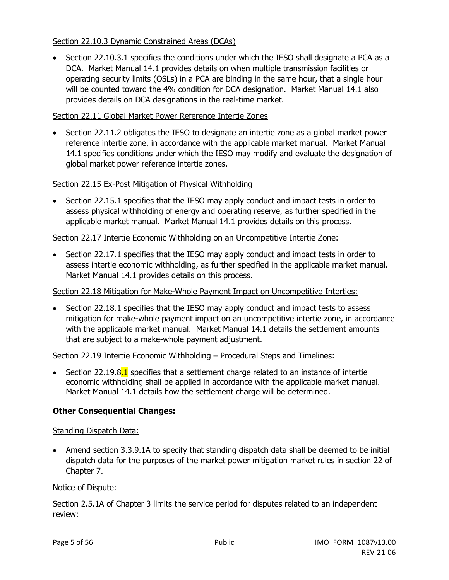#### Section 22.10.3 Dynamic Constrained Areas (DCAs)

• Section 22.10.3.1 specifies the conditions under which the IESO shall designate a PCA as a DCA. Market Manual 14.1 provides details on when multiple transmission facilities or operating security limits (OSLs) in a PCA are binding in the same hour, that a single hour will be counted toward the 4% condition for DCA designation. Market Manual 14.1 also provides details on DCA designations in the real-time market.

#### Section 22.11 Global Market Power Reference Intertie Zones

• Section 22.11.2 obligates the IESO to designate an intertie zone as a global market power reference intertie zone, in accordance with the applicable market manual. Market Manual 14.1 specifies conditions under which the IESO may modify and evaluate the designation of global market power reference intertie zones.

#### Section 22.15 Ex-Post Mitigation of Physical Withholding

• Section 22.15.1 specifies that the IESO may apply conduct and impact tests in order to assess physical withholding of energy and operating reserve, as further specified in the applicable market manual. Market Manual 14.1 provides details on this process.

#### Section 22.17 Intertie Economic Withholding on an Uncompetitive Intertie Zone:

• Section 22.17.1 specifies that the IESO may apply conduct and impact tests in order to assess intertie economic withholding, as further specified in the applicable market manual. Market Manual 14.1 provides details on this process.

#### Section 22.18 Mitigation for Make-Whole Payment Impact on Uncompetitive Interties:

• Section 22.18.1 specifies that the IESO may apply conduct and impact tests to assess mitigation for make-whole payment impact on an uncompetitive intertie zone, in accordance with the applicable market manual. Market Manual 14.1 details the settlement amounts that are subject to a make-whole payment adjustment.

#### Section 22.19 Intertie Economic Withholding – Procedural Steps and Timelines:

• Section 22.19.8.1 specifies that a settlement charge related to an instance of intertie economic withholding shall be applied in accordance with the applicable market manual. Market Manual 14.1 details how the settlement charge will be determined.

#### **Other Consequential Changes:**

#### Standing Dispatch Data:

• Amend section 3.3.9.1A to specify that standing dispatch data shall be deemed to be initial dispatch data for the purposes of the market power mitigation market rules in section 22 of Chapter 7.

#### Notice of Dispute:

Section 2.5.1A of Chapter 3 limits the service period for disputes related to an independent review: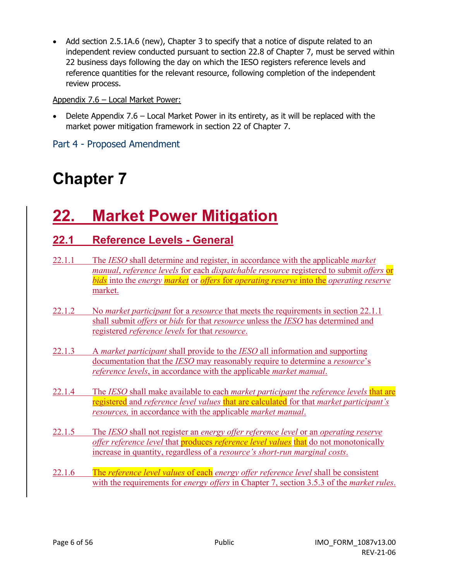• Add section 2.5.1A.6 (new), Chapter 3 to specify that a notice of dispute related to an independent review conducted pursuant to section 22.8 of Chapter 7, must be served within 22 business days following the day on which the IESO registers reference levels and reference quantities for the relevant resource, following completion of the independent review process.

#### Appendix 7.6 – Local Market Power:

• Delete Appendix 7.6 – Local Market Power in its entirety, as it will be replaced with the market power mitigation framework in section 22 of Chapter 7.

Part 4 - Proposed Amendment

# **Chapter 7**

# **22. Market Power Mitigation**

# **22.1 Reference Levels - General**

- 22.1.1 The *IESO* shall determine and register, in accordance with the applicable *market manual*, *reference levels* for each *dispatchable resource* registered to submit *offers* or *bids* into the *energy market* or *offers* for *operating reserve* into the *operating reserve* market.
- 22.1.2 No *market participant* for a *resource* that meets the requirements in section 22.1.1 shall submit *offers* or *bids* for that *resource* unless the *IESO* has determined and registered *reference levels* for that *resource*.
- 22.1.3 A *market participant* shall provide to the *IESO* all information and supporting documentation that the *IESO* may reasonably require to determine a *resource*'s *reference levels*, in accordance with the applicable *market manual*.
- 22.1.4 The *IESO* shall make available to each *market participant* the *reference levels* that are registered and *reference level values* that are calculated for that *market participant's resources,* in accordance with the applicable *market manual*.
- 22.1.5 The *IESO* shall not register an *energy offer reference level* or an *operating reserve offer reference level* that produces *reference level values* that do not monotonically increase in quantity, regardless of a *resource's short-run marginal costs*.
- 22.1.6 The *reference level values* of each *energy offer reference level* shall be consistent with the requirements for *energy offers* in Chapter 7, section 3.5.3 of the *market rules*.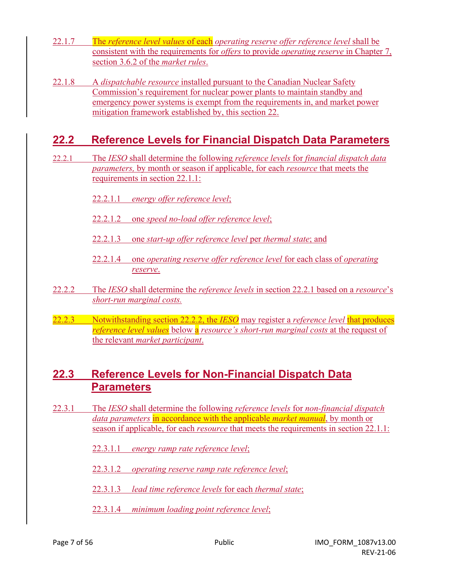- 22.1.7 The *reference level values* of each *operating reserve offer reference level* shall be consistent with the requirements for *offers* to provide *operating reserve* in Chapter 7, section 3.6.2 of the *market rules*.
- 22.1.8 A *dispatchable resource* installed pursuant to the Canadian Nuclear Safety Commission's requirement for nuclear power plants to maintain standby and emergency power systems is exempt from the requirements in, and market power mitigation framework established by, this section 22.

# **22.2 Reference Levels for Financial Dispatch Data Parameters**

- 22.2.1 The *IESO* shall determine the following *reference levels* for *financial dispatch data parameters,* by month or season if applicable, for each *resource* that meets the requirements in section 22.1.1:
	- 22.2.1.1 *energy offer reference level*;
	- 22.2.1.2 one *speed no-load offer reference level*;
	- 22.2.1.3 one *start-up offer reference level* per *thermal state*; and
	- 22.2.1.4 one *operating reserve offer reference level* for each class of *operating reserve*.
- 22.2.2 The *IESO* shall determine the *reference levels* in section 22.2.1 based on a *resource*'s *short-run marginal costs.*
- 22.2.3 Notwithstanding section 22.2.2, the *IESO* may register a *reference level* that produces *reference level values* below a *resource's short-run marginal costs* at the request of the relevant *market participant*.

# **22.3 Reference Levels for Non-Financial Dispatch Data Parameters**

- 22.3.1 The *IESO* shall determine the following *reference levels* for *non-financial dispatch data parameters* in accordance with the applicable *market manual*, by month or season if applicable, for each *resource* that meets the requirements in section 22.1.1:
	- 22.3.1.1 *energy ramp rate reference level*;
	- 22.3.1.2 *operating reserve ramp rate reference level*;
	- 22.3.1.3 *lead time reference levels* for each *thermal state*;
	- 22.3.1.4 *minimum loading point reference level*;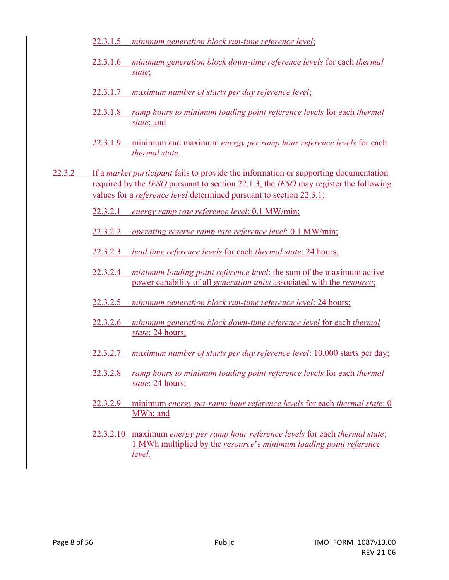- 22.3.1.5 *minimum generation block run-time reference level*;
- 22.3.1.6 *minimum generation block down-time reference levels* for each *thermal state*;
- 22.3.1.7 *maximum number of starts per day reference level*;
- 22.3.1.8 *ramp hours to minimum loading point reference levels* for each *thermal state*; and
- 22.3.1.9 minimum and maximum *energy per ramp hour reference levels* for each *thermal state*.
- 22.3.2 If a *market participant* fails to provide the information or supporting documentation required by the *IESO* pursuant to section 22.1.3, the *IESO* may register the following values for a *reference level* determined pursuant to section 22.3.1:

22.3.2.1 *energy ramp rate reference level*: 0.1 MW/min;

- 22.3.2.2 *operating reserve ramp rate reference level*: 0.1 MW/min;
- 22.3.2.3 *lead time reference levels* for each *thermal state*: 24 hours;
- 22.3.2.4 *minimum loading point reference level*: the sum of the maximum active power capability of all *generation units* associated with the *resource*;
- 22.3.2.5 *minimum generation block run-time reference level*: 24 hours;
- 22.3.2.6 *minimum generation block down-time reference level* for each *thermal state*: 24 hours;
- 22.3.2.7 *maximum number of starts per day reference level*: 10,000 starts per day;
- 22.3.2.8 *ramp hours to minimum loading point reference levels* for each *thermal state*: 24 hours;
- 22.3.2.9 minimum *energy per ramp hour reference levels* for each *thermal state*: 0 MWh; and
- 22.3.2.10 maximum *energy per ramp hour reference levels* for each *thermal state*: 1 MWh multiplied by the *resource*'s *minimum loading point reference level.*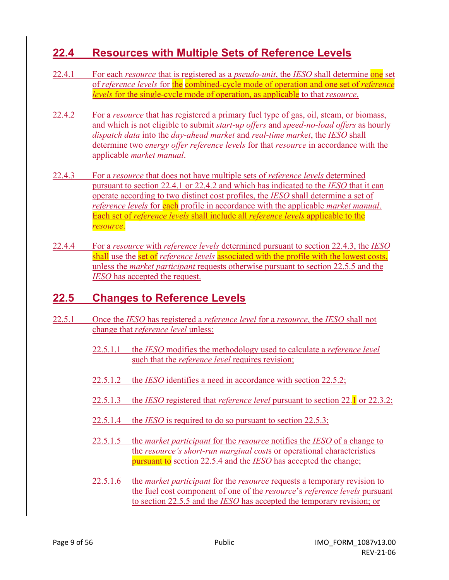# **22.4 Resources with Multiple Sets of Reference Levels**

- 22.4.1 For each *resource* that is registered as a *pseudo-unit*, the *IESO* shall determine one set of *reference levels* for the combined-cycle mode of operation and one set of *reference levels* for the single-cycle mode of operation, as applicable to that *resource*.
- 22.4.2 For a *resource* that has registered a primary fuel type of gas, oil, steam, or biomass, and which is not eligible to submit *start-up offers* and *speed-no-load offers* as hourly *dispatch data* into the *day-ahead market* and *real-time market*, the *IESO* shall determine two *energy offer reference levels* for that *resource* in accordance with the applicable *market manual*.
- 22.4.3 For a *resource* that does not have multiple sets of *reference levels* determined pursuant to section 22.4.1 or 22.4.2 and which has indicated to the *IESO* that it can operate according to two distinct cost profiles, the *IESO* shall determine a set of *reference levels* for **each** profile in accordance with the applicable *market manual*. Each set of *reference levels* shall include all *reference levels* applicable to the *resource*.
- 22.4.4 For a *resource* with *reference levels* determined pursuant to section 22.4.3, the *IESO* shall use the set of *reference levels* associated with the profile with the lowest costs, unless the *market participant* requests otherwise pursuant to section 22.5.5 and the *IESO* has accepted the request.

# **22.5 Changes to Reference Levels**

- 22.5.1 Once the *IESO* has registered a *reference level* for a *resource*, the *IESO* shall not change that *reference level* unless:
	- 22.5.1.1 the *IESO* modifies the methodology used to calculate a *reference level* such that the *reference level* requires revision;
	- 22.5.1.2 the *IESO* identifies a need in accordance with section 22.5.2;
	- 22.5.1.3 the *IESO* registered that *reference level* pursuant to section 22.1 or 22.3.2;
	- 22.5.1.4 the *IESO* is required to do so pursuant to section 22.5.3;
	- 22.5.1.5 the *market participant* for the *resource* notifies the *IESO* of a change to the *resource's short-run marginal cost*s or operational characteristics pursuant to section 22.5.4 and the *IESO* has accepted the change;
	- 22.5.1.6 the *market participant* for the *resource* requests a temporary revision to the fuel cost component of one of the *resource*'s *reference levels* pursuant to section 22.5.5 and the *IESO* has accepted the temporary revision; or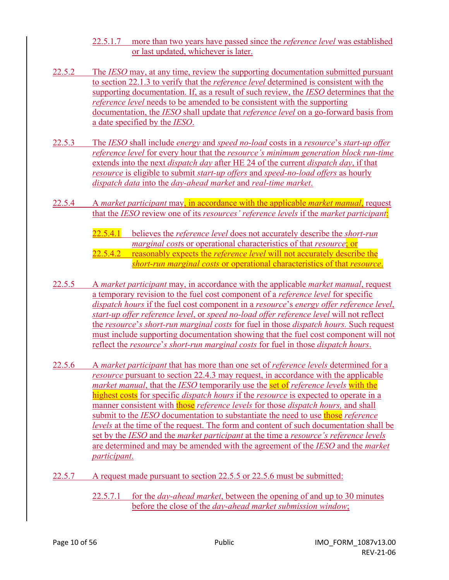- 22.5.1.7 more than two years have passed since the *reference level* was established or last updated, whichever is later.
- 22.5.2 The *IESO* may, at any time, review the supporting documentation submitted pursuant to section 22.1.3 to verify that the *reference level* determined is consistent with the supporting documentation. If, as a result of such review, the *IESO* determines that the *reference level* needs to be amended to be consistent with the supporting documentation, the *IESO* shall update that *reference level* on a go-forward basis from a date specified by the *IESO*.
- 22.5.3 The *IESO* shall include *energy* and *speed no-load* costs in a *resource*'s *start-up offer reference level* for every hour that the *resource's minimum generation block run-time* extends into the next *dispatch day* after HE 24 of the current *dispatch day*, if that *resource* is eligible to submit *start-up offers* and *speed-no-load offers* as hourly *dispatch data* into the *day-ahead market* and *real-time market*.
- 22.5.4 A *market participant* may, in accordance with the applicable *market manual*, request that the *IESO* review one of its *resources' reference levels* if the *market participant*:
	- 22.5.4.1 believes the *reference level* does not accurately describe the *short-run marginal cost*s or operational characteristics of that *resource*; or 22.5.4.2 reasonably expects the *reference level* will not accurately describe the *short-run marginal costs* or operational characteristics of that *resource*.
- 22.5.5 A *market participant* may, in accordance with the applicable *market manual*, request a temporary revision to the fuel cost component of a *reference level* for specific *dispatch hours* if the fuel cost component in a *resource*'s *energy offer reference level*, *start-up offer reference level*, or *speed no-load offer reference level* will not reflect the *resource*'*s short-run marginal costs* for fuel in those *dispatch hours.* Such request must include supporting documentation showing that the fuel cost component will not reflect the *resource*'*s short-run marginal costs* for fuel in those *dispatch hours*.
- 22.5.6 A *market participant* that has more than one set of *reference levels* determined for a *resource* pursuant to section 22.4.3 may request, in accordance with the applicable *market manual*, that the *IESO* temporarily use the set of *reference levels* with the highest costs for specific *dispatch hours* if the *resource* is expected to operate in a manner consistent with those *reference levels* for those *dispatch hours,* and shall submit to the *IESO* documentation to substantiate the need to use those *reference levels* at the time of the request. The form and content of such documentation shall be set by the *IESO* and the *market participant* at the time a *resource's reference levels* are determined and may be amended with the agreement of the *IESO* and the *market participant*.
- 22.5.7 A request made pursuant to section 22.5.5 or 22.5.6 must be submitted:
	- 22.5.7.1 for the *day-ahead market*, between the opening of and up to 30 minutes before the close of the *day-ahead market submission window*;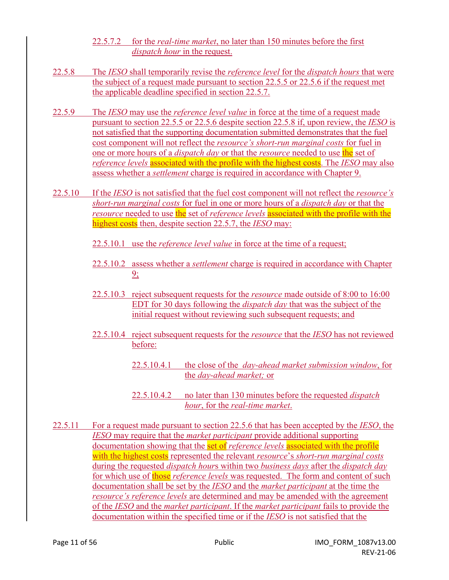#### 22.5.7.2 for the *real-time market*, no later than 150 minutes before the first *dispatch hour* in the request.

- 22.5.8 The *IESO* shall temporarily revise the *reference level* for the *dispatch hours* that were the subject of a request made pursuant to section 22.5.5 or 22.5.6 if the request met the applicable deadline specified in section 22.5.7.
- 22.5.9 The *IESO* may use the *reference level value* in force at the time of a request made pursuant to section 22.5.5 or 22.5.6 despite section 22.5.8 if, upon review, the *IESO* is not satisfied that the supporting documentation submitted demonstrates that the fuel cost component will not reflect the *resource's short-run marginal costs* for fuel in one or more hours of a *dispatch day* or that the *resource* needed to use the set of *reference levels* associated with the profile with the highest costs. The *IESO* may also assess whether a *settlement* charge is required in accordance with Chapter 9.
- 22.5.10 If the *IESO* is not satisfied that the fuel cost component will not reflect the *resource's short-run marginal costs* for fuel in one or more hours of a *dispatch day* or that the *resource* needed to use the set of *reference levels* associated with the profile with the highest costs then, despite section 22.5.7, the *IESO* may:
	- 22.5.10.1 use the *reference level value* in force at the time of a request;
	- 22.5.10.2 assess whether a *settlement* charge is required in accordance with Chapter 9;
	- 22.5.10.3 reject subsequent requests for the *resource* made outside of 8:00 to 16:00 EDT for 30 days following the *dispatch day* that was the subject of the initial request without reviewing such subsequent requests; and
	- 22.5.10.4 reject subsequent requests for the *resource* that the *IESO* has not reviewed before:
		- 22.5.10.4.1 the close of the *day-ahead market submission window*, for the *day-ahead market;* or
		- 22.5.10.4.2 no later than 130 minutes before the requested *dispatch hour*, for the *real-time market*.
- 22.5.11 For a request made pursuant to section 22.5.6 that has been accepted by the *IESO*, the *IESO* may require that the *market participant* provide additional supporting documentation showing that the set of *reference levels* associated with the profile with the highest costs represented the relevant *resource*'s *short-run marginal costs*  during the requested *dispatch hour*s within two *business days* after the *dispatch day* for which use of those *reference levels* was requested. The form and content of such documentation shall be set by the *IESO* and the *market participant* at the time the *resource's reference levels* are determined and may be amended with the agreement of the *IESO* and the *market participant*. If the *market participant* fails to provide the documentation within the specified time or if the *IESO* is not satisfied that the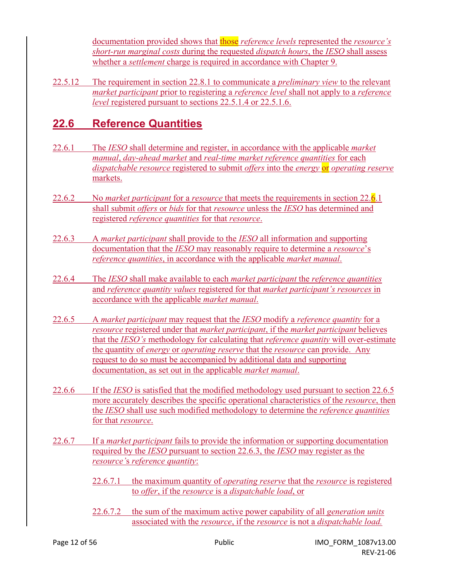documentation provided shows that those *reference levels* represented the *resource's short-run marginal costs* during the requested *dispatch hours*, the *IESO* shall assess whether a *settlement* charge is required in accordance with Chapter 9.

22.5.12 The requirement in section 22.8.1 to communicate a *preliminary view* to the relevant *market participant* prior to registering a *reference level* shall not apply to a *reference level* registered pursuant to sections 22.5.1.4 or 22.5.1.6.

# **22.6 Reference Quantities**

- 22.6.1 The *IESO* shall determine and register, in accordance with the applicable *market manual*, *day-ahead market* and *real-time market reference quantities* for each *dispatchable resource* registered to submit *offers* into the *energy* or *operating reserve* markets.
- 22.6.2 No *market participant* for a *resource* that meets the requirements in section 22.6.1 shall submit *offers* or *bids* for that *resource* unless the *IESO* has determined and registered *reference quantities* for that *resource*.
- 22.6.3 A *market participant* shall provide to the *IESO* all information and supporting documentation that the *IESO* may reasonably require to determine a *resource*'s *reference quantities*, in accordance with the applicable *market manual*.
- 22.6.4 The *IESO* shall make available to each *market participant* the *reference quantities* and *reference quantity values* registered for that *market participant's resources* in accordance with the applicable *market manual*.
- 22.6.5 A *market participant* may request that the *IESO* modify a *reference quantity* for a *resource* registered under that *market participant*, if the *market participant* believes that the *IESO's* methodology for calculating that *reference quantity* will over-estimate the quantity of *energy* or *operating reserve* that the *resource* can provide. Any request to do so must be accompanied by additional data and supporting documentation, as set out in the applicable *market manual*.
- 22.6.6 If the *IESO* is satisfied that the modified methodology used pursuant to section 22.6.5 more accurately describes the specific operational characteristics of the *resource*, then the *IESO* shall use such modified methodology to determine the *reference quantities* for that *resource*.
- 22.6.7 If a *market participant* fails to provide the information or supporting documentation required by the *IESO* pursuant to section 22.6.3, the *IESO* may register as the *resource'*s *reference quantity*:
	- 22.6.7.1 the maximum quantity of *operating reserve* that the *resource* is registered to *offer*, if the *resource* is a *dispatchable load*, or
	- 22.6.7.2 the sum of the maximum active power capability of all *generation units* associated with the *resource*, if the *resource* is not a *dispatchable load.*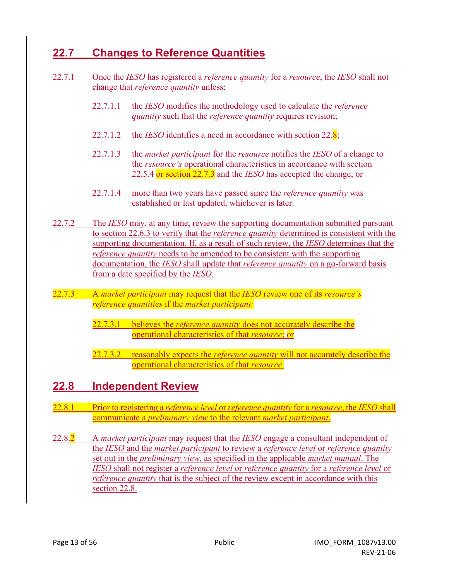# **22.7 Changes to Reference Quantities**

- 22.7.1 Once the *IESO* has registered a *reference quantity* for a *resource*, the *IESO* shall not change that *reference quantity* unless:
	- 22.7.1.1 the *IESO* modifies the methodology used to calculate the *reference quantity* such that the *reference quantity* requires revision;
	- 22.7.1.2 the *IESO* identifies a need in accordance with section 22.8;
	- 22.7.1.3 the *market participant* for the *resource* notifies the *IESO* of a change to the *resource's* operational characteristics in accordance with section 22.5.4 or section 22.7.3 and the *IESO* has accepted the change; or
	- 22.7.1.4 more than two years have passed since the *reference quantity* was established or last updated, whichever is later.
- 22.7.2 The *IESO* may, at any time, review the supporting documentation submitted pursuant to section 22.6.3 to verify that the *reference quantity* determined is consistent with the supporting documentation. If, as a result of such review, the *IESO* determines that the *reference quantity* needs to be amended to be consistent with the supporting documentation, the *IESO* shall update that *reference quantity* on a go-forward basis from a date specified by the *IESO*.
- 22.7.3 A *market participant* may request that the *IESO* review one of its *resource's reference quantities* if the *market participant:* 
	- 22.7.3.1 believes the *reference quantity* does not accurately describe the operational characteristics of that *resource*; or
	- 22.7.3.2 reasonably expects the *reference quantity* will not accurately describe the operational characteristics of that *resource*.

### **22.8 Independent Review**

- 22.8.1 Prior to registering a *reference level* or *reference quantity* for a *resource*, the *IESO* shall communicate a *preliminary view* to the relevant *market participant*.
- 22.8.2 A *market participant* may request that the *IESO* engage a consultant independent of the *IESO* and the *market participant* to review a *reference level* or *reference quantity* set out in the *preliminary view,* as specified in the applicable *market manual*. The *IESO* shall not register a *reference level* or *reference quantity* for a *reference level* or *reference quantity* that is the subject of the review except in accordance with this section 22.8.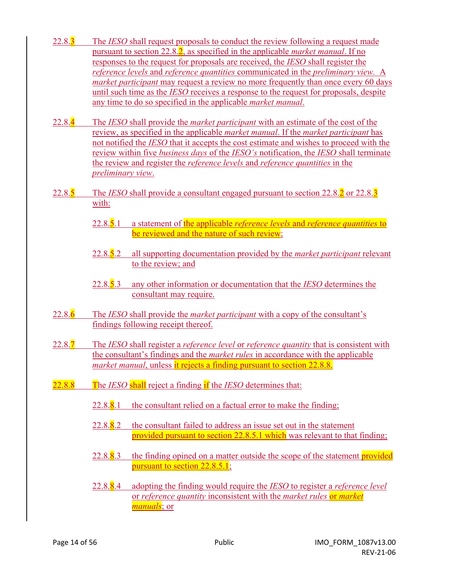- 22.8.3 The *IESO* shall request proposals to conduct the review following a request made pursuant to section 22.8.2, as specified in the applicable *market manual*. If no responses to the request for proposals are received, the *IESO* shall register the *reference levels* and *reference quantities* communicated in the *preliminary view.* A *market participant* may request a review no more frequently than once every 60 days until such time as the *IESO* receives a response to the request for proposals, despite any time to do so specified in the applicable *market manual*.
- 22.8.4 The *IESO* shall provide the *market participant* with an estimate of the cost of the review, as specified in the applicable *market manual*. If the *market participant* has not notified the *IESO* that it accepts the cost estimate and wishes to proceed with the review within five *business days* of the *IESO's* notification, the *IESO* shall terminate the review and register the *reference levels* and *reference quantities* in the *preliminary view*.
- 22.8.5 The *IESO* shall provide a consultant engaged pursuant to section 22.8.2 or 22.8.3 with:
	- 22.8.5.1 a statement of the applicable *reference levels* and *reference quantities* to be reviewed and the nature of such review;
	- 22.8.5.2 all supporting documentation provided by the *market participant* relevant to the review; and
	- 22.8.5.3 any other information or documentation that the *IESO* determines the consultant may require.
- 22.8.6 The *IESO* shall provide the *market participant* with a copy of the consultant's findings following receipt thereof.
- 22.8.7 The *IESO* shall register a *reference level* or *reference quantity* that is consistent with the consultant's findings and the *market rules* in accordance with the applicable *market manual*, unless it rejects a finding pursuant to section 22.8.8.
- 22.8.8 The *IESO* shall reject a finding if the *IESO* determines that:
	- $22.8.\overline{8}.1$  the consultant relied on a factual error to make the finding;
	- 22.8. $8.2$  the consultant failed to address an issue set out in the statement provided pursuant to section 22.8.5.1 which was relevant to that finding;
	- 22.8.8.3 the finding opined on a matter outside the scope of the statement provided pursuant to section 22.8.5.1;
	- 22.8.8.4 adopting the finding would require the *IESO* to register a *reference level* or *reference quantity* inconsistent with the *market rules* or *market manuals*; or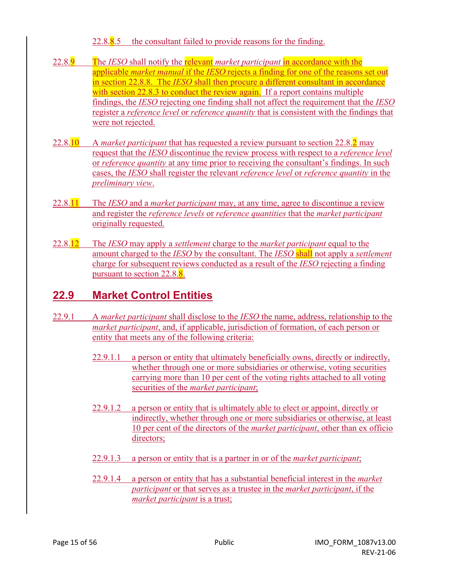#### $22.8.\overline{8}.5$  the consultant failed to provide reasons for the finding.

- 22.8.9 The *IESO* shall notify the relevant *market participant* in accordance with the applicable *market manual* if the *IESO* rejects a finding for one of the reasons set out in section 22.8.8. The *IESO* shall then procure a different consultant in accordance with section 22.8.3 to conduct the review again. If a report contains multiple findings, the *IESO* rejecting one finding shall not affect the requirement that the *IESO* register a *reference level* or *reference quantity* that is consistent with the findings that were not rejected.
- 22.8.10 A *market participant* that has requested a review pursuant to section 22.8.2 may request that the *IESO* discontinue the review process with respect to a *reference level* or *reference quantity* at any time prior to receiving the consultant's findings. In such cases, the *IESO* shall register the relevant *reference level* or *reference quantity* in the *preliminary view*.
- 22.8.11 The *IESO* and a *market participant* may, at any time, agree to discontinue a review and register the *reference levels* or *reference quantities* that the *market participant* originally requested.
- 22.8.12 The *IESO* may apply a *settlement* charge to the *market participant* equal to the amount charged to the *IESO* by the consultant. The *IESO* shall not apply a *settlement*  charge for subsequent reviews conducted as a result of the *IESO* rejecting a finding pursuant to section 22.8.8.

# **22.9 Market Control Entities**

- 22.9.1 A *market participant* shall disclose to the *IESO* the name, address, relationship to the *market participant*, and, if applicable, jurisdiction of formation, of each person or entity that meets any of the following criteria:
	- 22.9.1.1 a person or entity that ultimately beneficially owns, directly or indirectly, whether through one or more subsidiaries or otherwise, voting securities carrying more than 10 per cent of the voting rights attached to all voting securities of the *market participant*;
	- 22.9.1.2 a person or entity that is ultimately able to elect or appoint, directly or indirectly, whether through one or more subsidiaries or otherwise, at least 10 per cent of the directors of the *market participant*, other than ex officio directors;
	- 22.9.1.3 a person or entity that is a partner in or of the *market participant*;
	- 22.9.1.4 a person or entity that has a substantial beneficial interest in the *market participant* or that serves as a trustee in the *market participant*, if the *market participant* is a trust;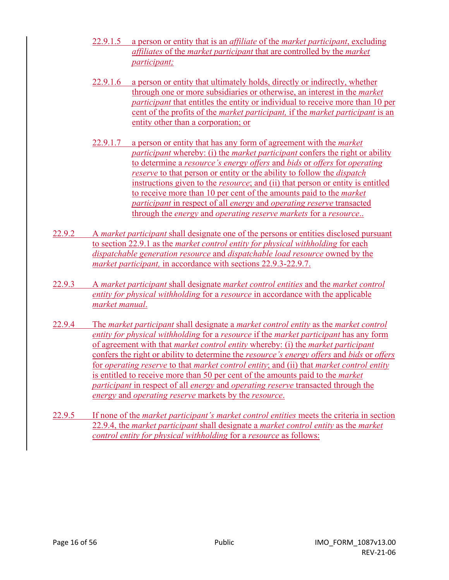- 22.9.1.5 a person or entity that is an *affiliate* of the *market participant*, excluding *affiliates* of the *market participant* that are controlled by the *market participant;*
- 22.9.1.6 a person or entity that ultimately holds, directly or indirectly, whether through one or more subsidiaries or otherwise, an interest in the *market participant* that entitles the entity or individual to receive more than 10 per cent of the profits of the *market participant,* if the *market participant* is an entity other than a corporation; or
- 22.9.1.7 a person or entity that has any form of agreement with the *market participant* whereby: (i) the *market participant* confers the right or ability to determine a *resource's energy offers* and *bids* or *offers* for *operating reserve* to that person or entity or the ability to follow the *dispatch* instructions given to the *resource*; and (ii) that person or entity is entitled to receive more than 10 per cent of the amounts paid to the *market participant* in respect of all *energy* and *operating reserve* transacted through the *energy* and *operating reserve markets* for a *resource*..
- 22.9.2 A *market participant* shall designate one of the persons or entities disclosed pursuant to section 22.9.1 as the *market control entity for physical withholding* for each *dispatchable generation resource* and *dispatchable load resource* owned by the *market participant,* in accordance with sections 22.9.3-22.9.7.
- 22.9.3 A *market participant* shall designate *market control entities* and the *market control entity for physical withholding* for a *resource* in accordance with the applicable *market manual*.
- 22.9.4 The *market participant* shall designate a *market control entity* as the *market control entity for physical withholding* for a *resource* if the *market participant* has any form of agreement with that *market control entity* whereby: (i) the *market participant* confers the right or ability to determine the *resource's energy offers* and *bids* or *offers*  for *operating reserve* to that *market control entity*; and (ii) that *market control entity* is entitled to receive more than 50 per cent of the amounts paid to the *market participant* in respect of all *energy* and *operating reserve* transacted through the *energy* and *operating reserve* markets by the *resource*.
- 22.9.5 If none of the *market participant's market control entities* meets the criteria in section 22.9.4, the *market participant* shall designate a *market control entity* as the *market control entity for physical withholding* for a *resource* as follows: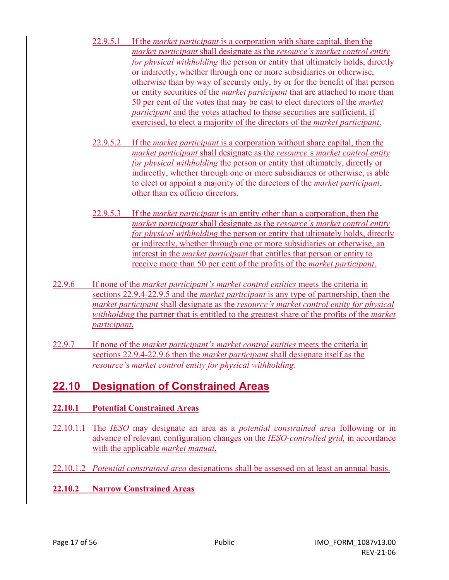- 22.9.5.1 If the *market participant* is a corporation with share capital, then the *market participant* shall designate as the *resource's market control entity for physical withholding* the person or entity that ultimately holds, directly or indirectly, whether through one or more subsidiaries or otherwise, otherwise than by way of security only, by or for the benefit of that person or entity securities of the *market participant* that are attached to more than 50 per cent of the votes that may be cast to elect directors of the *market participant* and the votes attached to those securities are sufficient, if exercised, to elect a majority of the directors of the *market participant*.
- 22.9.5.2 If the *market participant* is a corporation without share capital, then the *market participant* shall designate as the *resource'*s *market control entity for physical withholding* the person or entity that ultimately, directly or indirectly, whether through one or more subsidiaries or otherwise, is able to elect or appoint a majority of the directors of the *market participant*, other than ex officio directors.
- 22.9.5.3 If the *market participant* is an entity other than a corporation, then the *market participant* shall designate as the *resource's market control entity for physical withholding* the person or entity that ultimately holds, directly or indirectly, whether through one or more subsidiaries or otherwise, an interest in the *market participant* that entitles that person or entity to receive more than 50 per cent of the profits of the *market participant*.
- 22.9.6 If none of the *market participant's market control entities* meets the criteria in sections 22.9.4-22.9.5 and the *market participant* is any type of partnership, then the *market participant* shall designate as the *resource's market control entity for physical withholding* the partner that is entitled to the greatest share of the profits of the *market participant*.
- 22.9.7 If none of the *market participant's market control entities* meets the criteria in sections 22.9.4-22.9.6 then the *market participant* shall designate itself as the *resource'*s *market control entity for physical withholding*.

### **22.10 Designation of Constrained Areas**

#### **22.10.1 Potential Constrained Areas**

- 22.10.1.1 The *IESO* may designate an area as a *potential constrained area* following or in advance of relevant configuration changes on the *IESO-controlled grid,* in accordance with the applicable *market manual*.
- 22.10.1.2 *Potential constrained area* designations shall be assessed on at least an annual basis.
- **22.10.2 Narrow Constrained Areas**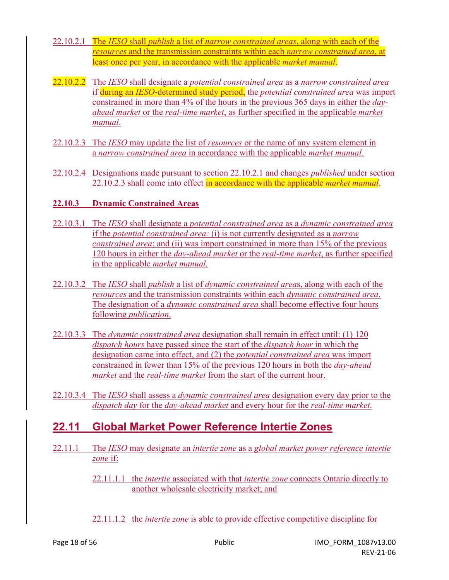- 22.10.2.1 The *IESO* shall *publish* a list of *narrow constrained areas*, along with each of the *resources* and the transmission constraints within each *narrow constrained area*, at least once per year, in accordance with the applicable *market manual*.
- 22.10.2.2 The *IESO* shall designate a *potential constrained area* as a *narrow constrained area* if during an *IESO*-determined study period, the *potential constrained area* was import constrained in more than 4% of the hours in the previous 365 days in either the *dayahead market* or the *real-time market*, as further specified in the applicable *market manual*.
- 22.10.2.3 The *IESO* may update the list of *resources* or the name of any system element in a *narrow constrained area* in accordance with the applicable *market manual*.
- 22.10.2.4 Designations made pursuant to section 22.10.2.1 and changes *published* under section 22.10.2.3 shall come into effect in accordance with the applicable *market manual*.

#### **22.10.3 Dynamic Constrained Areas**

- 22.10.3.1 The *IESO* shall designate a *potential constrained area* as a *dynamic constrained area* if the *potential constrained area:* (i) is not currently designated as a *narrow constrained area*; and (ii) was import constrained in more than 15% of the previous 120 hours in either the *day-ahead market* or the *real-time market*, as further specified in the applicable *market manual.*
- 22.10.3.2 The *IESO* shall *publish* a list of *dynamic constrained area*s, along with each of the *resources* and the transmission constraints within each *dynamic constrained area*. The designation of a *dynamic constrained area* shall become effective four hours following *publication*.
- 22.10.3.3 The *dynamic constrained area* designation shall remain in effect until: (1) 120 *dispatch hours* have passed since the start of the *dispatch hour* in which the designation came into effect, and (2) the *potential constrained area* was import constrained in fewer than 15% of the previous 120 hours in both the *day-ahead market* and the *real-time market* from the start of the current hour.
- 22.10.3.4 The *IESO* shall assess a *dynamic constrained area* designation every day prior to the *dispatch day* for the *day-ahead market* and every hour for the *real-time market*.

### **22.11 Global Market Power Reference Intertie Zones**

22.11.1 The *IESO* may designate an *intertie zone* as a *global market power reference intertie zone* if:

> 22.11.1.1 the *intertie* associated with that *intertie zone* connects Ontario directly to another wholesale electricity market; and

22.11.1.2 the *intertie zone* is able to provide effective competitive discipline for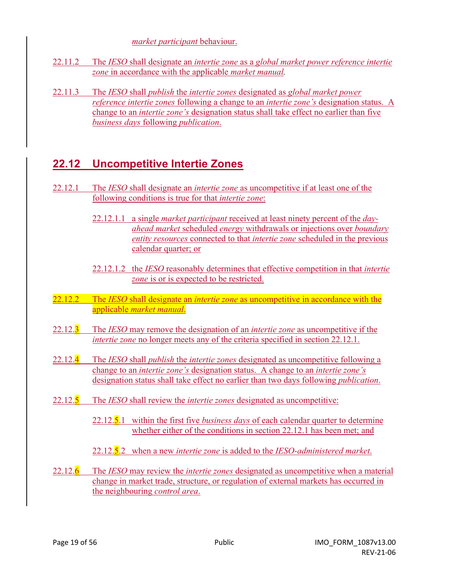*market participant* behaviour.

- 22.11.2 The *IESO* shall designate an *intertie zone* as a *global market power reference intertie zone* in accordance with the applicable *market manual.*
- 22.11.3 The *IESO* shall *publish* the *intertie zones* designated as *global market power reference intertie zones* following a change to an *intertie zone's* designation status. A change to an *intertie zone's* designation status shall take effect no earlier than five *business days* following *publication*.

# **22.12 Uncompetitive Intertie Zones**

- 22.12.1 The *IESO* shall designate an *intertie zone* as uncompetitive if at least one of the following conditions is true for that *intertie zone*:
	- 22.12.1.1 a single *market participant* received at least ninety percent of the *dayahead market* scheduled *energy* withdrawals or injections over *boundary entity resources* connected to that *intertie zone* scheduled in the previous calendar quarter; or
	- 22.12.1.2 the *IESO* reasonably determines that effective competition in that *intertie zone* is or is expected to be restricted.
- 22.12.2 The *IESO* shall designate an *intertie zone* as uncompetitive in accordance with the applicable *market manual*.
- 22.12.3 The *IESO* may remove the designation of an *intertie zone* as uncompetitive if the *intertie zone* no longer meets any of the criteria specified in section 22.12.1.
- 22.12.4 The *IESO* shall *publish* the *intertie zones* designated as uncompetitive following a change to an *intertie zone's* designation status. A change to an *intertie zone's* designation status shall take effect no earlier than two days following *publication*.
- 22.12.5 The *IESO* shall review the *intertie zones* designated as uncompetitive:
	- 22.12.5.1 within the first five *business days* of each calendar quarter to determine whether either of the conditions in section 22.12.1 has been met; and
	- 22.12.5.2 when a new *intertie zone* is added to the *IESO-administered market*.
- 22.12.6 The *IESO* may review the *intertie zones* designated as uncompetitive when a material change in market trade, structure, or regulation of external markets has occurred in the neighbouring *control area*.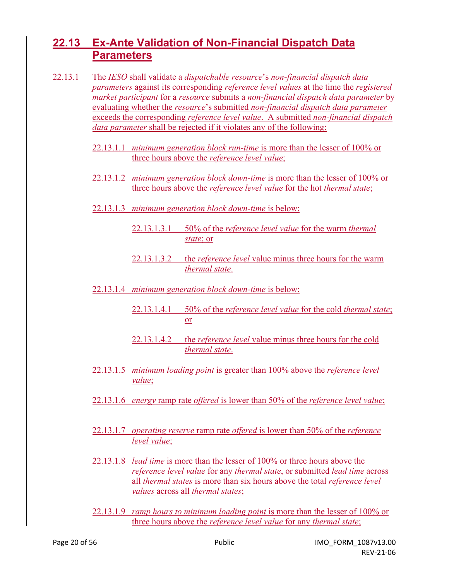# **22.13 Ex-Ante Validation of Non-Financial Dispatch Data Parameters**

- 22.13.1 The *IESO* shall validate a *dispatchable resource*'s *non-financial dispatch data parameters* against its corresponding *reference level values* at the time the *registered market participant* for a *resource* submits a *non-financial dispatch data parameter* by evaluating whether the *resource*'s submitted *non-financial dispatch data parameter* exceeds the corresponding *reference level value*. A submitted *non-financial dispatch data parameter* shall be rejected if it violates any of the following:
	- 22.13.1.1 *minimum generation block run-time* is more than the lesser of 100% or three hours above the *reference level value*;
	- 22.13.1.2 *minimum generation block down-time* is more than the lesser of 100% or three hours above the *reference level value* for the hot *thermal state*;
	- 22.13.1.3 *minimum generation block down-time* is below:
		- 22.13.1.3.1 50% of the *reference level value* for the warm *thermal state*; or
		- 22.13.1.3.2 the *reference level* value minus three hours for the warm *thermal state*.
	- 22.13.1.4 *minimum generation block down-time* is below:
		- 22.13.1.4.1 50% of the *reference level value* for the cold *thermal state*; or
		- 22.13.1.4.2 the *reference level* value minus three hours for the cold *thermal state*.
	- 22.13.1.5 *minimum loading point* is greater than 100% above the *reference level value*;
	- 22.13.1.6 *energy* ramp rate *offered* is lower than 50% of the *reference level value*;
	- 22.13.1.7 *operating reserve* ramp rate *offered* is lower than 50% of the *reference level value*;
	- 22.13.1.8 *lead time* is more than the lesser of 100% or three hours above the *reference level value* for any *thermal state*, or submitted *lead time* across all *thermal states* is more than six hours above the total *reference level values* across all *thermal states*;
	- 22.13.1.9 *ramp hours to minimum loading point* is more than the lesser of 100% or three hours above the *reference level value* for any *thermal state*;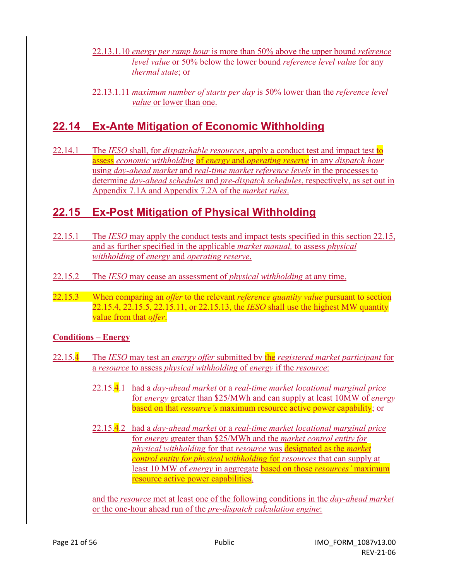- 22.13.1.10 *energy per ramp hour* is more than 50% above the upper bound *reference level value* or 50% below the lower bound *reference level value* for any *thermal state*; or
- 22.13.1.11 *maximum number of starts per day* is 50% lower than the *reference level value* or lower than one.

# **22.14 Ex-Ante Mitigation of Economic Withholding**

22.14.1 The *IESO* shall, for *dispatchable resources*, apply a conduct test and impact test to assess *economic withholding* of *energy* and *operating reserve* in any *dispatch hour* using *day-ahead market* and *real-time market reference levels* in the processes to determine *day-ahead schedules* and *pre-dispatch schedules*, respectively, as set out in Appendix 7.1A and Appendix 7.2A of the *market rules*.

# **22.15 Ex-Post Mitigation of Physical Withholding**

- 22.15.1 The *IESO* may apply the conduct tests and impact tests specified in this section 22.15, and as further specified in the applicable *market manual,* to assess *physical withholding* of *energy* and *operating reserve*.
- 22.15.2 The *IESO* may cease an assessment of *physical withholding* at any time.
- 22.15.3 When comparing an *offer* to the relevant *reference quantity value* pursuant to section 22.15.4, 22.15.5, 22.15.11, or 22.15.13, the *IESO* shall use the highest MW quantity value from that *offer*.

#### **Conditions – Energy**

- 22.15.4 The *IESO* may test an *energy offer* submitted by the *registered market participant* for a *resource* to assess *physical withholding* of *energy* if the *resource*:
	- 22.15.4.1 had a *day-ahead market* or a *real-time market locational marginal price* for *energy* greater than \$25/MWh and can supply at least 10MW of *energy*  based on that *resource's* maximum resource active power capability; or
	- 22.15.4.2 had a *day-ahead market* or a *real-time market locational marginal price* for *energy* greater than \$25/MWh and the *market control entity for physical withholding* for that *resource* was designated as the *market control entity for physical withholding* for *resources* that can supply at least 10 MW of *energy* in aggregate based on those *resources'* maximum resource active power capabilities,

and the *resource* met at least one of the following conditions in the *day-ahead market* or the one-hour ahead run of the *pre-dispatch calculation engine*: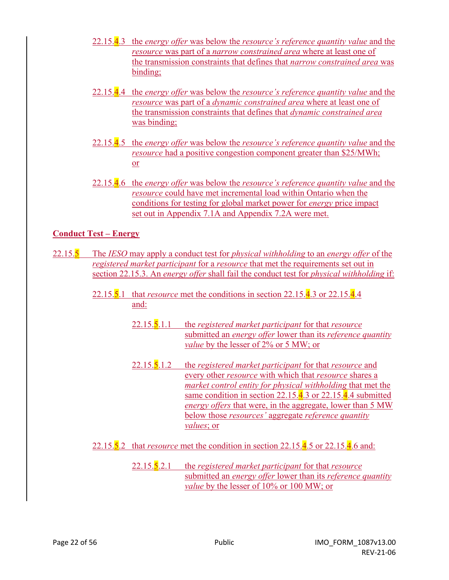- 22.15.4.3 the *energy offer* was below the *resource's reference quantity value* and the *resource* was part of a *narrow constrained area* where at least one of the transmission constraints that defines that *narrow constrained area* was binding;
- 22.15.4.4 the *energy offer* was below the *resource's reference quantity value* and the *resource* was part of a *dynamic constrained area* where at least one of the transmission constraints that defines that *dynamic constrained area* was binding;
- 22.15.4.5 the *energy offer* was below the *resource's reference quantity value* and the *resource* had a positive congestion component greater than \$25/MWh; or
- 22.15.4.6 the *energy offer* was below the *resource's reference quantity value* and the *resource* could have met incremental load within Ontario when the conditions for testing for global market power for *energy* price impact set out in Appendix 7.1A and Appendix 7.2A were met.

#### **Conduct Test – Energy**

- 22.15.5 The *IESO* may apply a conduct test for *physical withholding* to an *energy offer* of the *registered market participant* for a *resource* that met the requirements set out in section 22.15.3. An *energy offer* shall fail the conduct test for *physical withholding* if:
	- 22.15.5.1 that *resource* met the conditions in section 22.15.4.3 or 22.15.4.4 and:
		- 22.15.5.1.1 the *registered market participant* for that *resource*  submitted an *energy offer* lower than its *reference quantity value* by the lesser of 2% or 5 MW; or
		- 22.15.5.1.2 the *registered market participant* for that *resource* and every other *resource* with which that *resource* shares a *market control entity for physical withholding* that met the same condition in section 22.15.4.3 or 22.15.4.4 submitted *energy offers* that were, in the aggregate, lower than 5 MW below those *resources'* aggregate *reference quantity values*; or
	- 22.15.5.2 that *resource* met the condition in section 22.15.4.5 or 22.15.4.6 and:
		- 22.15.5.2.1 the *registered market participant* for that *resource* submitted an *energy offer* lower than its *reference quantity value* by the lesser of 10% or 100 MW; or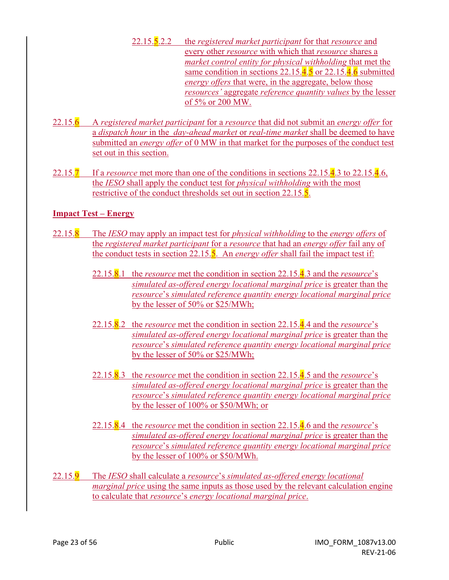- 22.15.5.2.2 the *registered market participant* for that *resource* and every other *resource* with which that *resource* shares a *market control entity for physical withholding* that met the same condition in sections 22.15.4.5 or 22.15.4.6 submitted *energy offers* that were, in the aggregate, below those *resources'* aggregate *reference quantity values* by the lesser of 5% or 200 MW.
- 22.15.6 A *registered market participant* for a *resource* that did not submit an *energy offer* for a *dispatch hour* in the *day-ahead market* or *real-time market* shall be deemed to have submitted an *energy offer* of 0 MW in that market for the purposes of the conduct test set out in this section.
- 22.15.7 If a *resource* met more than one of the conditions in sections 22.15.4.3 to 22.15.4.6, the *IESO* shall apply the conduct test for *physical withholding* with the most restrictive of the conduct thresholds set out in section 22.15.5.

#### **Impact Test – Energy**

- 22.15.8 The *IESO* may apply an impact test for *physical withholding* to the *energy offers* of the *registered market participant* for a *resource* that had an *energy offer* fail any of the conduct tests in section 22.15.5. An *energy offer* shall fail the impact test if:
	- 22.15.8.1 the *resource* met the condition in section 22.15.4.3 and the *resource*'s *simulated as-offered energy locational marginal price* is greater than the *resource*'s *simulated reference quantity energy locational marginal price* by the lesser of 50% or \$25/MWh;
	- 22.15.8.2 the *resource* met the condition in section 22.15.4.4 and the *resource*'s *simulated as-offered energy locational marginal price* is greater than the *resource*'s *simulated reference quantity energy locational marginal price* by the lesser of 50% or \$25/MWh;
	- 22.15.8.3 the *resource* met the condition in section 22.15.4.5 and the *resource*'s *simulated as-offered energy locational marginal price* is greater than the *resource*'s *simulated reference quantity energy locational marginal price* by the lesser of 100% or \$50/MWh; or
	- 22.15.8.4 the *resource* met the condition in section 22.15.4.6 and the *resource*'s *simulated as-offered energy locational marginal price* is greater than the *resource*'s *simulated reference quantity energy locational marginal price* by the lesser of 100% or \$50/MWh.
- 22.15.9 The *IESO* shall calculate a *resource*'s *simulated as-offered energy locational marginal price* using the same inputs as those used by the relevant calculation engine to calculate that *resource*'s *energy locational marginal price*.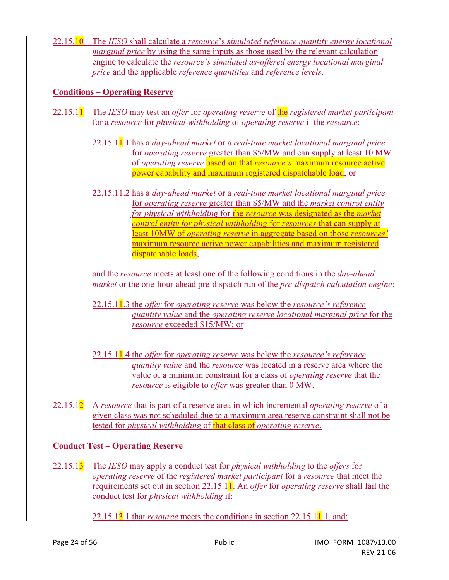22.15.10 The *IESO* shall calculate a *resource*'s *simulated reference quantity energy locational marginal price* by using the same inputs as those used by the relevant calculation engine to calculate the *resource's simulated as-offered energy locational marginal price* and the applicable *reference quantities* and *reference levels*.

#### **Conditions – Operating Reserve**

- 22.15.11 The *IESO* may test an *offer* for *operating reserve* of the *registered market participant* for a *resource* for *physical withholding* of *operating reserve* if the *resource*:
	- 22.15.11.1 has a *day-ahead market* or a *real-time market locational marginal price* for *operating reserve* greater than \$5/MW and can supply at least 10 MW of *operating reserve* based on that *resource's* maximum resource active power capability and maximum registered dispatchable load; or
	- 22.15.11.2 has a *day-ahead market* or a *real-time market locational marginal price* for *operating reserve* greater than \$5/MW and the *market control entity for physical withholding* for the *resource* was designated as the *market control entity for physical withholding* for *resources* that can supply at least 10MW of *operating reserve* in aggregate based on those *resources'* maximum resource active power capabilities and maximum registered dispatchable loads,

and the *resource* meets at least one of the following conditions in the *day-ahead market* or the one-hour ahead pre-dispatch run of the *pre-dispatch calculation engine*:

- 22.15.11.3 the *offer* for *operating reserve* was below the *resource's reference quantity value* and the *operating reserve locational marginal price* for the *resource* exceeded \$15/MW; or
- 22.15.11.4 the *offer* for *operating reserve* was below the *resource's reference quantity value* and the *resource* was located in a reserve area where the value of a minimum constraint for a class of *operating reserve* that the *resource* is eligible to *offer* was greater than 0 MW.
- 22.15.12 A *resource* that is part of a reserve area in which incremental *operating reserve* of a given class was not scheduled due to a maximum area reserve constraint shall not be tested for *physical withholding* of that class of *operating reserve*.

#### **Conduct Test – Operating Reserve**

- 22.15.13 The *IESO* may apply a conduct test for *physical withholding* to the *offers* for *operating reserve* of the *registered market participant* for a *resource* that meet the requirements set out in section 22.15.11. An *offer* for *operating reserve* shall fail the conduct test for *physical withholding* if:
	- 22.15.1<sup>3</sup>.1 that *resource* meets the conditions in section 22.15.1<sup>1</sup>.1, and: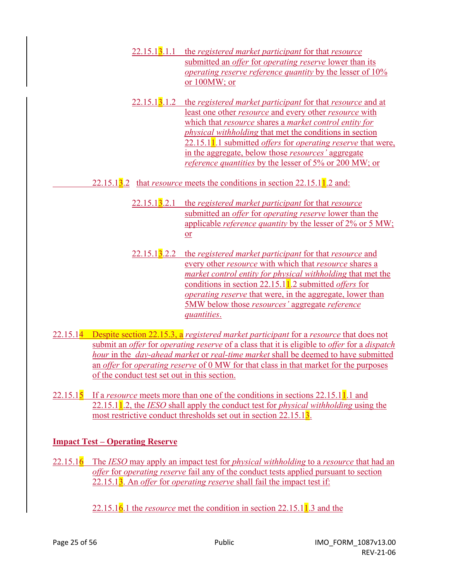- 22.15.13.1.1 the *registered market participant* for that *resource* submitted an *offer* for *operating reserve* lower than its *operating reserve reference quantity* by the lesser of 10% or 100MW; or
- 22.15.13.1.2 the *registered market participant* for that *resource* and at least one other *resource* and every other *resource* with which that *resource* shares a *market control entity for physical withholding* that met the conditions in section 22.15.11.1 submitted *offers* for *operating reserve* that were, in the aggregate, below those *resources'* aggregate *reference quantities* by the lesser of 5% or 200 MW; or
- 22.15.13.2 that *resource* meets the conditions in section 22.15.11.2 and:
	- 22.15.13.2.1 the *registered market participant* for that *resource* submitted an *offer* for *operating reserve* lower than the applicable *reference quantity* by the lesser of 2% or 5 MW; or
	- 22.15.13.2.2 the *registered market participant* for that *resource* and every other *resource* with which that *resource* shares a *market control entity for physical withholding* that met the conditions in section 22.15.11.2 submitted *offers* for *operating reserve* that were, in the aggregate, lower than 5MW below those *resources'* aggregate *reference quantities*.
- 22.15.14 Despite section 22.15.3, a *registered market participant* for a *resource* that does not submit an *offer* for *operating reserve* of a class that it is eligible to *offer* for a *dispatch hour* in the *day-ahead market* or *real-time market* shall be deemed to have submitted an *offer* for *operating reserve* of 0 MW for that class in that market for the purposes of the conduct test set out in this section.
- 22.15.15 If a *resource* meets more than one of the conditions in sections 22.15.11.1 and 22.15.11.2, the *IESO* shall apply the conduct test for *physical withholding* using the most restrictive conduct thresholds set out in section 22.15.13.

#### **Impact Test – Operating Reserve**

- 22.15.16 The *IESO* may apply an impact test for *physical withholding* to a *resource* that had an *offer* for *operating reserve* fail any of the conduct tests applied pursuant to section 22.15.13. An *offer* for *operating reserve* shall fail the impact test if:
	- 22.15.16.1 the *resource* met the condition in section 22.15.11.3 and the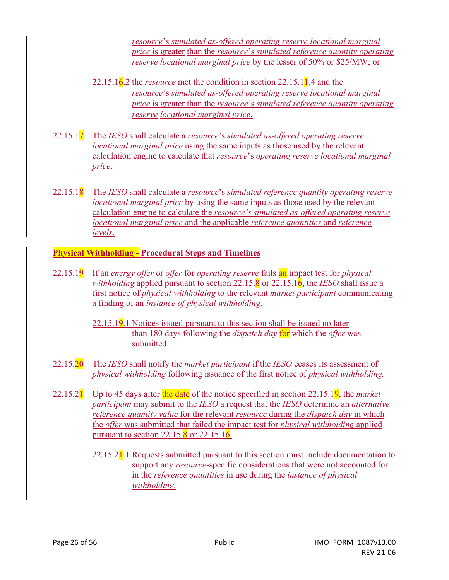*resource*'s *simulated as-offered operating reserve locational marginal price* is greater than the *resource*'s *simulated reference quantity operating reserve locational marginal price* by the lesser of 50% or \$25/MW; or

- 22.15.16.2 the *resource* met the condition in section 22.15.11.4 and the *resource*'s *simulated as-offered operating reserve locational marginal price* is greater than the *resource*'s *simulated reference quantity operating reserve locational marginal price*.
- 22.15.17 The *IESO* shall calculate a *resource*'s *simulated as-offered operating reserve locational marginal price* using the same inputs as those used by the relevant calculation engine to calculate that *resource*'s *operating reserve locational marginal price*.
- 22.15.18 The *IESO* shall calculate a *resource*'s *simulated reference quantity operating reserve locational marginal price* by using the same inputs as those used by the relevant calculation engine to calculate the *resource's simulated as-offered operating reserve locational marginal price* and the applicable *reference quantities* and *reference levels*.

#### **Physical Withholding - Procedural Steps and Timelines**

- 22.15.19 If an *energy offer* or *offer* for *operating reserve* fails an impact test for *physical withholding* applied pursuant to section 22.15.8 or 22.15.16, the *IESO* shall issue a first notice of *physical withholding* to the relevant *market participant* communicating a finding of an *instance of physical withholding*.
	- $22.15.19.1$  Notices issued pursuant to this section shall be issued no later than 180 days following the *dispatch day* for which the *offer* was submitted.
- 22.15.20 The *IESO* shall notify the *market participant* if the *IESO* ceases its assessment of *physical withholding* following issuance of the first notice of *physical withholding.*
- 22.15.21 Up to 45 days after the date of the notice specified in section 22.15.19, the *market participant* may submit to the *IESO* a request that the *IESO* determine an *alternative reference quantity value* for the relevant *resource* during the *dispatch day* in which the *offer* was submitted that failed the impact test for *physical withholding* applied pursuant to section  $22.15.\overline{8}$  or  $22.15.16$ .
	- 22.15.2<sup>1</sup>.1 Requests submitted pursuant to this section must include documentation to support any *resource*-specific considerations that were not accounted for in the *reference quantities* in use during the *instance of physical withholding.*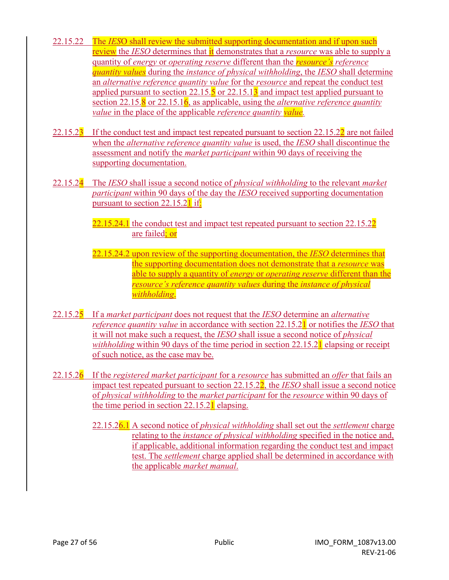- 22.15.22 The *IES*O shall review the submitted supporting documentation and if upon such review the *IESO* determines that it demonstrates that a *resource* was able to supply a quantity of *energy* or *operating reserve* different than the *resource's reference quantity values* during the *instance of physical withholding*, the *IESO* shall determine an *alternative reference quantity value* for the *resource* and repeat the conduct test applied pursuant to section  $22.15.\overline{5}$  or  $22.15.1\overline{3}$  and impact test applied pursuant to section 22.15.8 or 22.15.16, as applicable, using the *alternative reference quantity value* in the place of the applicable *reference quantity value.*
- 22.15.2 $\overline{3}$  If the conduct test and impact test repeated pursuant to section 22.15.2 $\overline{2}$  are not failed when the *alternative reference quantity value* is used, the *IESO* shall discontinue the assessment and notify the *market participant* within 90 days of receiving the supporting documentation.
- 22.15.24 The *IESO* shall issue a second notice of *physical withholding* to the relevant *market participant* within 90 days of the day the *IESO* received supporting documentation pursuant to section 22.15.2<sup>1</sup> if:
	- 22.15.24.1 the conduct test and impact test repeated pursuant to section 22.15.22 are failed; or
	- 22.15.24.2 upon review of the supporting documentation, the *IESO* determines that the supporting documentation does not demonstrate that a *resource* was able to supply a quantity of *energy* or *operating reserve* different than the *resource's reference quantity values* during the *instance of physical withholding*.
- 22.15.25 If a *market participant* does not request that the *IESO* determine an *alternative reference quantity value* in accordance with section 22.15.21 or notifies the *IESO* that it will not make such a request, the *IESO* shall issue a second notice of *physical withholding* within 90 days of the time period in section 22.15.2<sup>1</sup> elapsing or receipt of such notice, as the case may be.
- 22.15.26 If the *registered market participant* for a *resource* has submitted an *offer* that fails an impact test repeated pursuant to section 22.15.22, the *IESO* shall issue a second notice of *physical withholding* to the *market participant* for the *resource* within 90 days of the time period in section 22.15.21 elapsing.
	- 22.15.26.1 A second notice of *physical withholding* shall set out the *settlement* charge relating to the *instance of physical withholding* specified in the notice and, if applicable, additional information regarding the conduct test and impact test. The *settlement* charge applied shall be determined in accordance with the applicable *market manual*.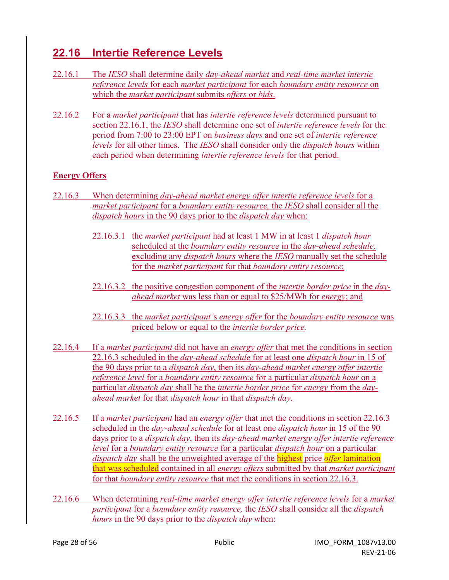# **22.16 Intertie Reference Levels**

- 22.16.1 The *IESO* shall determine daily *day-ahead market* and *real-time market intertie reference levels* for each *market participant* for each *boundary entity resource* on which the *market participant* submits *offers* or *bids*.
- 22.16.2 For a *market participant* that has *intertie reference levels* determined pursuant to section 22.16.1, the *IESO* shall determine one set of *intertie reference levels* for the period from 7:00 to 23:00 EPT on *business days* and one set of *intertie reference levels* for all other times. The *IESO* shall consider only the *dispatch hours* within each period when determining *intertie reference levels* for that period.

#### **Energy Offers**

- 22.16.3 When determining *day-ahead market energy offer intertie reference levels* for a *market participant* for a *boundary entity resource,* the *IESO* shall consider all the *dispatch hours* in the 90 days prior to the *dispatch day* when:
	- 22.16.3.1 the *market participant* had at least 1 MW in at least 1 *dispatch hour* scheduled at the *boundary entity resource* in the *day-ahead schedule,*  excluding any *dispatch hours* where the *IESO* manually set the schedule for the *market participant* for that *boundary entity resource*;
	- 22.16.3.2 the positive congestion component of the *intertie border price* in the *day ahead market* was less than or equal to \$25/MWh for *energy*; and
	- 22.16.3.3 the *market participant'*s *energy offer* for the *boundary entity resource* was priced below or equal to the *intertie border price.*
- 22.16.4 If a *market participant* did not have an *energy offer* that met the conditions in section 22.16.3 scheduled in the *day-ahead schedule* for at least one *dispatch hour* in 15 of the 90 days prior to a *dispatch day*, then its *day-ahead market energy offer intertie reference level* for a *boundary entity resource* for a particular *dispatch hour* on a particular *dispatch day* shall be the *intertie border price* for *energy* from the *dayahead market* for that *dispatch hour* in that *dispatch day*.
- 22.16.5 If a *market participant* had an *energy offer* that met the conditions in section 22.16.3 scheduled in the *day-ahead schedule* for at least one *dispatch hour* in 15 of the 90 days prior to a *dispatch day*, then its *day-ahead market energy offer intertie reference level* for a *boundary entity resource* for a particular *dispatch hour* on a particular *dispatch day* shall be the unweighted average of the highest price *offer* lamination that was scheduled contained in all *energy offers* submitted by that *market participant* for that *boundary entity resource* that met the conditions in section 22.16.3.
- 22.16.6 When determining *real-time market energy offer intertie reference levels* for a *market participant* for a *boundary entity resource,* the *IESO* shall consider all the *dispatch hours* in the 90 days prior to the *dispatch day* when: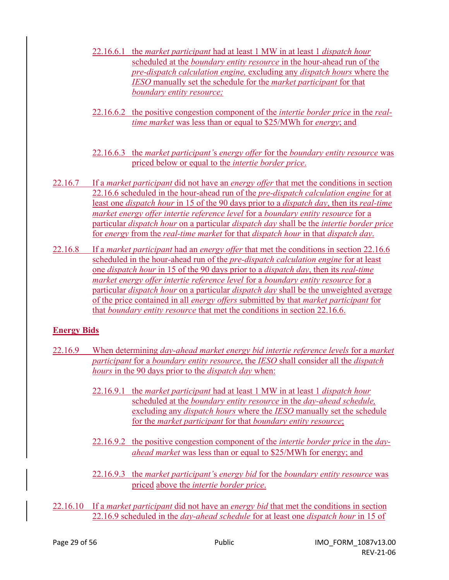- 22.16.6.1 the *market participant* had at least 1 MW in at least 1 *dispatch hour* scheduled at the *boundary entity resource* in the hour-ahead run of the *pre-dispatch calculation engine,* excluding any *dispatch hours* where the *IESO* manually set the schedule for the *market participant* for that *boundary entity resource;*
- 22.16.6.2 the positive congestion component of the *intertie border price* in the *realtime market* was less than or equal to \$25/MWh for *energy*; and
- 22.16.6.3 the *market participant'*s *energy offer* for the *boundary entity resource* was priced below or equal to the *intertie border price*.
- 22.16.7 If a *market participant* did not have an *energy offer* that met the conditions in section 22.16.6 scheduled in the hour-ahead run of the *pre-dispatch calculation engine* for at least one *dispatch hour* in 15 of the 90 days prior to a *dispatch day*, then its *real-time market energy offer intertie reference level* for a *boundary entity resource* for a particular *dispatch hour* on a particular *dispatch day* shall be the *intertie border price* for *energy* from the *real-time market* for that *dispatch hour* in that *dispatch day*.
- 22.16.8 If a *market participant* had an *energy offer* that met the conditions in section 22.16.6 scheduled in the hour-ahead run of the *pre-dispatch calculation engine* for at least one *dispatch hour* in 15 of the 90 days prior to a *dispatch day*, then its *real-time market energy offer intertie reference level* for a *boundary entity resource* for a particular *dispatch hour* on a particular *dispatch day* shall be the unweighted average of the price contained in all *energy offers* submitted by that *market participant* for that *boundary entity resource* that met the conditions in section 22.16.6.

#### **Energy Bids**

- 22.16.9 When determining *day-ahead market energy bid intertie reference levels* for a *market participant* for a *boundary entity resource*, the *IESO* shall consider all the *dispatch hours* in the 90 days prior to the *dispatch day* when:
	- 22.16.9.1 the *market participant* had at least 1 MW in at least 1 *dispatch hour* scheduled at the *boundary entity resource* in the *day-ahead schedule,*  excluding any *dispatch hours* where the *IESO* manually set the schedule for the *market participant* for that *boundary entity resource*;
	- 22.16.9.2 the positive congestion component of the *intertie border price* in the *day ahead market* was less than or equal to \$25/MWh for energy; and
	- 22.16.9.3 the *market participant'*s *energy bid* for the *boundary entity resource* was priced above the *intertie border price*.
- 22.16.10 If a *market participant* did not have an *energy bid* that met the conditions in section 22.16.9 scheduled in the *day-ahead schedule* for at least one *dispatch hour* in 15 of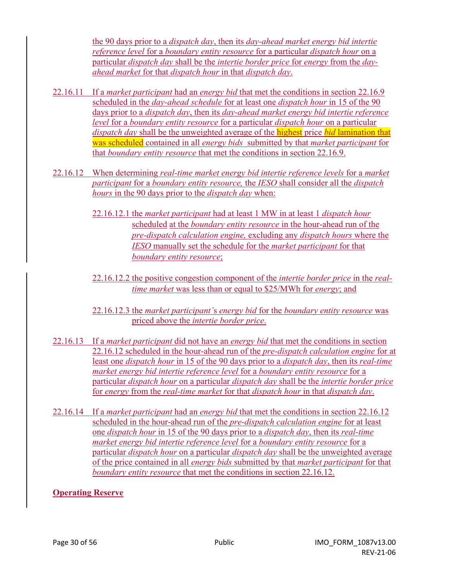the 90 days prior to a *dispatch day*, then its *day-ahead market energy bid intertie reference level* for a *boundary entity resource* for a particular *dispatch hour* on a particular *dispatch day* shall be the *intertie border price* for *energy* from the *dayahead market* for that *dispatch hour* in that *dispatch day*.

- 22.16.11 If a *market participant* had an *energy bid* that met the conditions in section 22.16.9 scheduled in the *day-ahead schedule* for at least one *dispatch hour* in 15 of the 90 days prior to a *dispatch day*, then its *day-ahead market energy bid intertie reference level* for a *boundary entity resource* for a particular *dispatch hour* on a particular *dispatch day* shall be the unweighted average of the highest price *bid* lamination that was scheduled contained in all *energy bids* submitted by that *market participant* for that *boundary entity resource* that met the conditions in section 22.16.9.
- 22.16.12 When determining *real-time market energy bid intertie reference levels* for a *market participant* for a *boundary entity resource,* the *IESO* shall consider all the *dispatch hours* in the 90 days prior to the *dispatch day* when:
	- 22.16.12.1 the *market participant* had at least 1 MW in at least 1 *dispatch hour* scheduled at the *boundary entity resource* in the hour-ahead run of the *pre-dispatch calculation engine,* excluding any *dispatch hours* where the *IESO* manually set the schedule for the *market participant* for that *boundary entity resource*;
	- 22.16.12.2 the positive congestion component of the *intertie border price* in the *real time market* was less than or equal to \$25/MWh for *energy*; and
	- 22.16.12.3 the *market participant'*s *energy bid* for the *boundary entity resource* was priced above the *intertie border price*.
- 22.16.13 If a *market participant* did not have an *energy bid* that met the conditions in section 22.16.12 scheduled in the hour-ahead run of the *pre-dispatch calculation engine* for at least one *dispatch hour* in 15 of the 90 days prior to a *dispatch day*, then its *real-time market energy bid intertie reference level* for a *boundary entity resource* for a particular *dispatch hour* on a particular *dispatch day* shall be the *intertie border price* for *energy* from the *real-time market* for that *dispatch hour* in that *dispatch day*.
- 22.16.14 If a *market participant* had an *energy bid* that met the conditions in section 22.16.12 scheduled in the hour-ahead run of the *pre-dispatch calculation engine* for at least one *dispatch hour* in 15 of the 90 days prior to a *dispatch day*, then its *real-time market energy bid intertie reference level* for a *boundary entity resource* for a particular *dispatch hour* on a particular *dispatch day* shall be the unweighted average of the price contained in all *energy bids* submitted by that *market participant* for that *boundary entity resource* that met the conditions in section 22.16.12.

#### **Operating Reserve**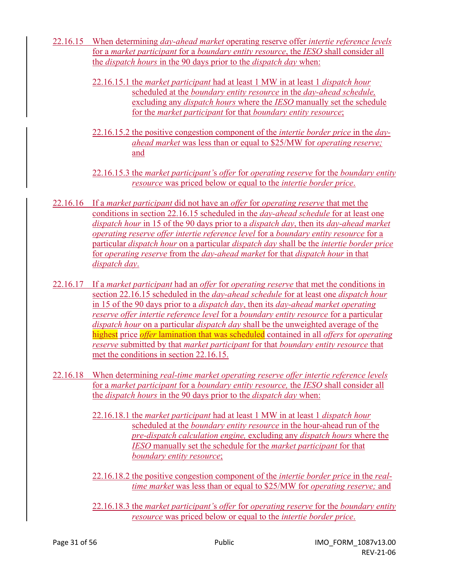- 22.16.15 When determining *day-ahead market* operating reserve offer *intertie reference levels* for a *market participant* for a *boundary entity resource*, the *IESO* shall consider all the *dispatch hours* in the 90 days prior to the *dispatch day* when:
	- 22.16.15.1 the *market participant* had at least 1 MW in at least 1 *dispatch hour* scheduled at the *boundary entity resource* in the *day-ahead schedule,*  excluding any *dispatch hours* where the *IESO* manually set the schedule for the *market participant* for that *boundary entity resource*;
	- 22.16.15.2 the positive congestion component of the *intertie border price* in the *dayahead market* was less than or equal to \$25/MW for *operating reserve;* and
	- 22.16.15.3 the *market participant'*s *offer* for *operating reserve* for the *boundary entity resource* was priced below or equal to the *intertie border price*.
- 22.16.16 If a *market participant* did not have an *offer* for *operating reserve* that met the conditions in section 22.16.15 scheduled in the *day-ahead schedule* for at least one *dispatch hour* in 15 of the 90 days prior to a *dispatch day*, then its *day-ahead market operating reserve offer intertie reference level* for a *boundary entity resource* for a particular *dispatch hour* on a particular *dispatch day* shall be the *intertie border price* for *operating reserve* from the *day-ahead market* for that *dispatch hour* in that *dispatch day*.
- 22.16.17 If a *market participant* had an *offer* for *operating reserve* that met the conditions in section 22.16.15 scheduled in the *day-ahead schedule* for at least one *dispatch hour* in 15 of the 90 days prior to a *dispatch day*, then its *day-ahead market operating reserve offer intertie reference level* for a *boundary entity resource* for a particular *dispatch hour* on a particular *dispatch day* shall be the unweighted average of the highest price *offer* lamination that was scheduled contained in all *offers* for *operating reserve* submitted by that *market participant* for that *boundary entity resource* that met the conditions in section 22.16.15.
- 22.16.18 When determining *real-time market operating reserve offer intertie reference levels*  for a *market participant* for a *boundary entity resource,* the *IESO* shall consider all the *dispatch hours* in the 90 days prior to the *dispatch day* when:
	- 22.16.18.1 the *market participant* had at least 1 MW in at least 1 *dispatch hour* scheduled at the *boundary entity resource* in the hour-ahead run of the *pre-dispatch calculation engine,* excluding any *dispatch hours* where the *IESO* manually set the schedule for the *market participant* for that *boundary entity resource*;
	- 22.16.18.2 the positive congestion component of the *intertie border price* in the *real time market* was less than or equal to \$25/MW for *operating reserve;* and
	- 22.16.18.3 the *market participant'*s *offer* for *operating reserve* for the *boundary entity resource* was priced below or equal to the *intertie border price*.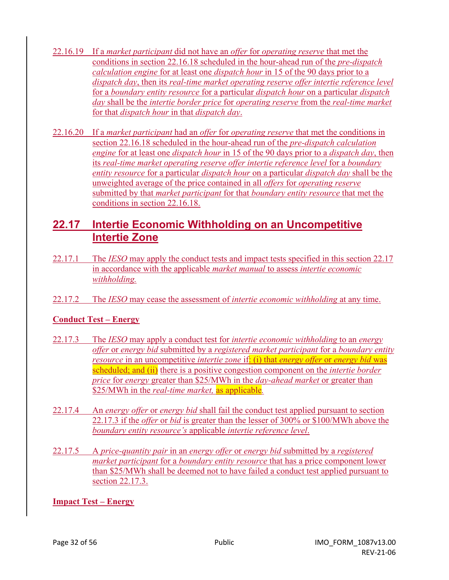- 22.16.19 If a *market participant* did not have an *offer* for *operating reserve* that met the conditions in section 22.16.18 scheduled in the hour-ahead run of the *pre-dispatch calculation engine* for at least one *dispatch hour* in 15 of the 90 days prior to a *dispatch day*, then its *real-time market operating reserve offer intertie reference level* for a *boundary entity resource* for a particular *dispatch hour* on a particular *dispatch day* shall be the *intertie border price* for *operating reserve* from the *real-time market* for that *dispatch hour* in that *dispatch day*.
- 22.16.20 If a *market participant* had an *offer* for *operating reserve* that met the conditions in section 22.16.18 scheduled in the hour-ahead run of the *pre-dispatch calculation engine* for at least one *dispatch hour* in 15 of the 90 days prior to a *dispatch day*, then its *real-time market operating reserve offer intertie reference level* for a *boundary entity resource* for a particular *dispatch hour* on a particular *dispatch day* shall be the unweighted average of the price contained in all *offers* for *operating reserve*  submitted by that *market participant* for that *boundary entity resource* that met the conditions in section 22.16.18.

### **22.17 Intertie Economic Withholding on an Uncompetitive Intertie Zone**

- 22.17.1 The *IESO* may apply the conduct tests and impact tests specified in this section 22.17 in accordance with the applicable *market manual* to assess *intertie economic withholding.*
- 22.17.2 The *IESO* may cease the assessment of *intertie economic withholding* at any time.

#### **Conduct Test – Energy**

- 22.17.3 The *IESO* may apply a conduct test for *intertie economic withholding* to an *energy offer* or *energy bid* submitted by a *registered market participant* for a *boundary entity resource* in an uncompetitive *intertie zone* if: (i) that *energy offer* or *energy bid* was scheduled; and (ii) there is a positive congestion component on the *intertie border price* for *energy* greater than \$25/MWh in the *day-ahead market* or greater than \$25/MWh in the *real-time market,* as applicable*.*
- 22.17.4 An *energy offer* or *energy bid* shall fail the conduct test applied pursuant to section 22.17.3 if the *offer* or *bid* is greater than the lesser of 300% or \$100/MWh above the *boundary entity resource's* applicable *intertie reference level*.
- 22.17.5 A *price-quantity pair* in an *energy offer* or *energy bid* submitted by a *registered market participant* for a *boundary entity resource* that has a price component lower than \$25/MWh shall be deemed not to have failed a conduct test applied pursuant to section 22.17.3.

**Impact Test – Energy**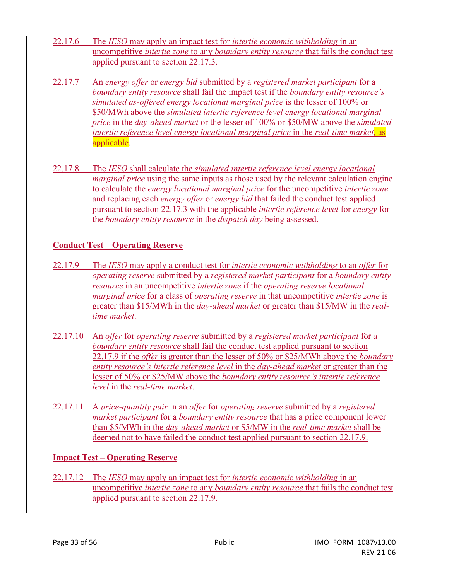- 22.17.6 The *IESO* may apply an impact test for *intertie economic withholding* in an uncompetitive *intertie zone* to any *boundary entity resource* that fails the conduct test applied pursuant to section 22.17.3.
- 22.17.7 An *energy offer* or *energy bid* submitted by a *registered market participant* for a *boundary entity resource* shall fail the impact test if the *boundary entity resource's simulated as-offered energy locational marginal price* is the lesser of 100% or \$50/MWh above the *simulated intertie reference level energy locational marginal price* in the *day-ahead market* or the lesser of 100% or \$50/MW above the *simulated intertie reference level energy locational marginal price* in the *real-time market,* as applicable.
- 22.17.8 The *IESO* shall calculate the *simulated intertie reference level energy locational marginal price* using the same inputs as those used by the relevant calculation engine to calculate the *energy locational marginal price* for the uncompetitive *intertie zone* and replacing each *energy offer* or *energy bid* that failed the conduct test applied pursuant to section 22.17.3 with the applicable *intertie reference level* for *energy* for the *boundary entity resource* in the *dispatch day* being assessed.

#### **Conduct Test – Operating Reserve**

- 22.17.9 The *IESO* may apply a conduct test for *intertie economic withholding* to an *offer* for *operating reserve* submitted by a *registered market participant* for a *boundary entity resource* in an uncompetitive *intertie zone* if the *operating reserve locational marginal price* for a class of *operating reserve* in that uncompetitive *intertie zone* is greater than \$15/MWh in the *day-ahead market* or greater than \$15/MW in the *realtime market*.
- 22.17.10 An *offer* for *operating reserve* submitted by a *registered market participant* for *a boundary entity resource* shall fail the conduct test applied pursuant to section 22.17.9 if the *offer* is greater than the lesser of 50% or \$25/MWh above the *boundary entity resource's intertie reference level* in the *day-ahead market* or greater than the lesser of 50% or \$25/MW above the *boundary entity resource's intertie reference level* in the *real-time market*.
- 22.17.11 A *price-quantity pair* in an *offer* for *operating reserve* submitted by a *registered market participant* for a *boundary entity resource* that has a price component lower than \$5/MWh in the *day-ahead market* or \$5/MW in the *real-time market* shall be deemed not to have failed the conduct test applied pursuant to section 22.17.9.

#### **Impact Test – Operating Reserve**

22.17.12 The *IESO* may apply an impact test for *intertie economic withholding* in an uncompetitive *intertie zone* to any *boundary entity resource* that fails the conduct test applied pursuant to section 22.17.9.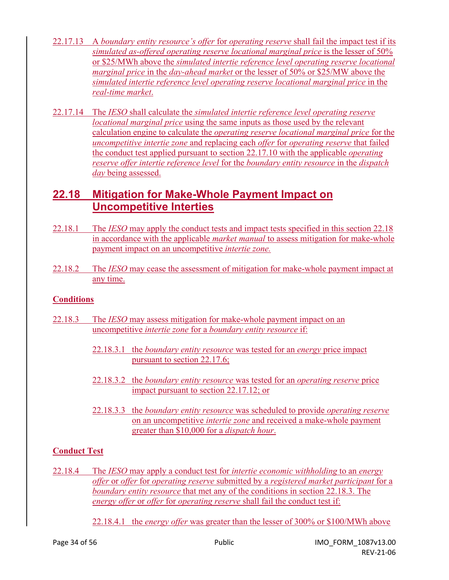- 22.17.13 A *boundary entity resource's offer* for *operating reserve* shall fail the impact test if its *simulated as-offered operating reserve locational marginal price* is the lesser of 50% or \$25/MWh above the *simulated intertie reference level operating reserve locational marginal price* in the *day-ahead market* or the lesser of 50% or \$25/MW above the *simulated intertie reference level operating reserve locational marginal price* in the *real-time market*.
- 22.17.14 The *IESO* shall calculate the *simulated intertie reference level operating reserve locational marginal price* using the same inputs as those used by the relevant calculation engine to calculate the *operating reserve locational marginal price* for the *uncompetitive intertie zone* and replacing each *offer* for *operating reserve* that failed the conduct test applied pursuant to section 22.17.10 with the applicable *operating reserve offer intertie reference level* for the *boundary entity resource* in the *dispatch day* being assessed.

# **22.18 Mitigation for Make-Whole Payment Impact on Uncompetitive Interties**

- 22.18.1 The *IESO* may apply the conduct tests and impact tests specified in this section 22.18 in accordance with the applicable *market manual* to assess mitigation for make-whole payment impact on an uncompetitive *intertie zone.*
- 22.18.2 The *IESO* may cease the assessment of mitigation for make-whole payment impact at any time.

#### **Conditions**

- 22.18.3 The *IESO* may assess mitigation for make-whole payment impact on an uncompetitive *intertie zone* for a *boundary entity resource* if:
	- 22.18.3.1 the *boundary entity resource* was tested for an *energy* price impact pursuant to section 22.17.6;
	- 22.18.3.2 the *boundary entity resource* was tested for an *operating reserve* price impact pursuant to section 22.17.12; or
	- 22.18.3.3 the *boundary entity resource* was scheduled to provide *operating reserve* on an uncompetitive *intertie zone* and received a make-whole payment greater than \$10,000 for a *dispatch hour*.

#### **Conduct Test**

- 22.18.4 The *IESO* may apply a conduct test for *intertie economic withholding* to an *energy offer* or *offer* for *operating reserve* submitted by a *registered market participant* for a *boundary entity resource* that met any of the conditions in section 22.18.3. The *energy offer* or *offer* for *operating reserve* shall fail the conduct test if:
	- 22.18.4.1 the *energy offer* was greater than the lesser of 300% or \$100/MWh above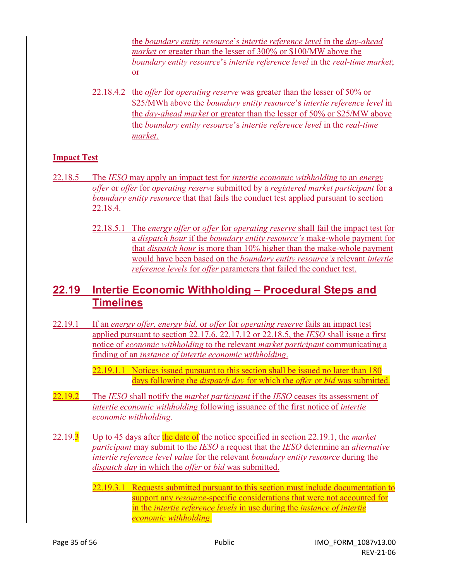the *boundary entity resource*'s *intertie reference level* in the *day-ahead market* or greater than the lesser of 300% or \$100/MW above the *boundary entity resource*'s *intertie reference level* in the *real-time market*; or

22.18.4.2 the *offer* for *operating reserve* was greater than the lesser of 50% or \$25/MWh above the *boundary entity resource*'s *intertie reference level* in the *day-ahead market* or greater than the lesser of 50% or \$25/MW above the *boundary entity resource*'s *intertie reference level* in the *real-time market*.

#### **Impact Test**

- 22.18.5 The *IESO* may apply an impact test for *intertie economic withholding* to an *energy offer* or *offer* for *operating reserve* submitted by a *registered market participant* for a *boundary entity resource* that that fails the conduct test applied pursuant to section 22.18.4.
	- 22.18.5.1 The *energy offer* or *offer* for *operating reserve* shall fail the impact test for a *dispatch hour* if the *boundary entity resource's* make-whole payment for that *dispatch hour* is more than 10% higher than the make-whole payment would have been based on the *boundary entity resource's* relevant *intertie reference levels* for *offer* parameters that failed the conduct test.

### **22.19 Intertie Economic Withholding – Procedural Steps and Timelines**

- 22.19.1 If an *energy offer, energy bid,* or *offer* for *operating reserve* fails an impact test applied pursuant to section 22.17.6, 22.17.12 or 22.18.5, the *IESO* shall issue a first notice of *economic withholding* to the relevant *market participant* communicating a finding of an *instance of intertie economic withholding*.
	- 22.19.1.1 Notices issued pursuant to this section shall be issued no later than 180 days following the *dispatch day* for which the *offer* or *bid* was submitted.
- 22.19.2 The *IESO* shall notify the *market participant* if the *IESO* ceases its assessment of *intertie economic withholding* following issuance of the first notice of *intertie economic withholding*.
- 22.19.3 Up to 45 days after the date of the notice specified in section 22.19.1, the *market participant* may submit to the *IESO* a request that the *IESO* determine an *alternative intertie reference level value* for the relevant *boundary entity resource* during the *dispatch day* in which the *offer* or *bid* was submitted.
	- 22.19.3.1 Requests submitted pursuant to this section must include documentation to support any *resource*-specific considerations that were not accounted for in the *intertie reference levels* in use during the *instance of intertie economic withholding*.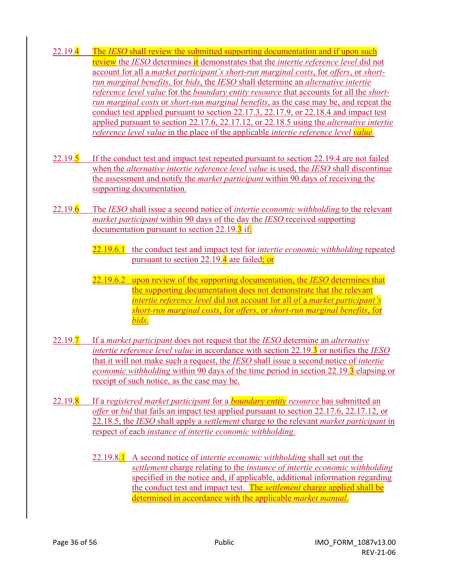- 22.19.4 The *IESO* shall review the submitted supporting documentation and if upon such review the *IESO* determines it demonstrates that the *intertie reference level* did not account for all a *market participant's short-run marginal costs*, for *offers*, or *shortrun marginal benefits*, for *bids*, the *IESO* shall determine an *alternative intertie reference level value* for the *boundary entity resource* that accounts for all the *shortrun marginal costs* or *short-run marginal benefits*, as the case may be, and repeat the conduct test applied pursuant to section 22.17.3, 22.17.9, or 22.18.4 and impact test applied pursuant to section 22.17.6, 22.17.12, or 22.18.5 using the *alternative intertie reference level value* in the place of the applicable *intertie reference level value.*
- 22.19.5 If the conduct test and impact test repeated pursuant to section 22.19.4 are not failed when the *alternative intertie reference level value* is used, the *IESO* shall discontinue the assessment and notify the *market participant* within 90 days of receiving the supporting documentation.
- 22.19.6 The *IESO* shall issue a second notice of *intertie economic withholding* to the relevant *market participant* within 90 days of the day the *IESO* received supporting documentation pursuant to section 22.19.3 if:
	- 22.19.6.1 the conduct test and impact test for *intertie economic withholding* repeated pursuant to section 22.19.4 are failed; or
	- 22.19.6.2 upon review of the supporting documentation, the *IESO* determines that the supporting documentation does not demonstrate that the relevant *intertie reference level* did not account for all of a *market participant's short-run marginal costs*, for *offers*, or *short-run marginal benefits*, for *bids*.
- 22.19.7 If a *market participant* does not request that the *IESO* determine an *alternative intertie reference level value* in accordance with section 22.19.3 or notifies the *IESO*  that it will not make such a request, the *IESO* shall issue a second notice of *intertie economic withholding* within 90 days of the time period in section 22.19.3 elapsing or receipt of such notice, as the case may be.
- 22.19.8 If a *registered market participant* for a *boundary entity resource* has submitted an *offer* or *bid* that fails an impact test applied pursuant to section 22.17.6, 22.17.12, or 22.18.5, the *IESO* shall apply a *settlement* charge to the relevant *market participant* in respect of each *instance of intertie economic withholding*.
	- 22.19.8.1 A second notice of *intertie economic withholding* shall set out the *settlement* charge relating to the *instance of intertie economic withholding* specified in the notice and, if applicable, additional information regarding the conduct test and impact test. The *settlement* charge applied shall be determined in accordance with the applicable *market manual*.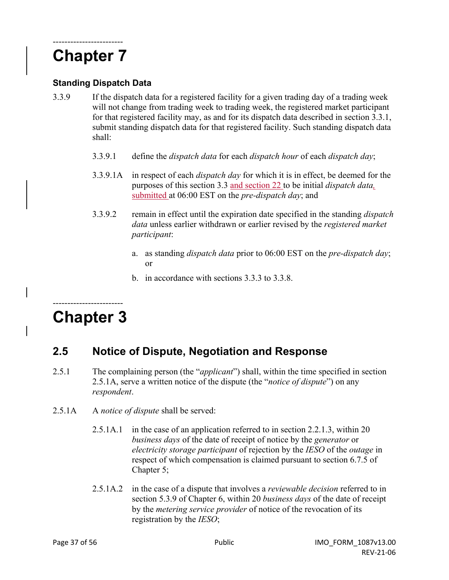# ------------------------ **Chapter 7**

#### **Standing Dispatch Data**

- 3.3.9 If the dispatch data for a registered facility for a given trading day of a trading week will not change from trading week to trading week, the registered market participant for that registered facility may, as and for its dispatch data described in section 3.3.1, submit standing dispatch data for that registered facility. Such standing dispatch data shall:
	- 3.3.9.1 define the *dispatch data* for each *dispatch hour* of each *dispatch day*;
	- 3.3.9.1A in respect of each *dispatch day* for which it is in effect, be deemed for the purposes of this section 3.3 and section 22 to be initial *dispatch data,* submitted at 06:00 EST on the *pre-dispatch day*; and
	- 3.3.9.2 remain in effect until the expiration date specified in the standing *dispatch data* unless earlier withdrawn or earlier revised by the *registered market participant*:
		- a. as standing *dispatch data* prior to 06:00 EST on the *pre-dispatch day*; or
		- b. in accordance with sections 3.3.3 to 3.3.8.

# ------------------------ **Chapter 3**

### **2.5 Notice of Dispute, Negotiation and Response**

- 2.5.1 The complaining person (the "*applicant*") shall, within the time specified in section 2.5.1A, serve a written notice of the dispute (the "*notice of dispute*") on any *respondent*.
- 2.5.1A A *notice of dispute* shall be served:
	- 2.5.1A.1 in the case of an application referred to in section 2.2.1.3, within 20 *business days* of the date of receipt of notice by the *generator* or *electricity storage participant* of rejection by the *IESO* of the *outage* in respect of which compensation is claimed pursuant to section 6.7.5 of Chapter 5;
	- 2.5.1A.2 in the case of a dispute that involves a *reviewable decision* referred to in section 5.3.9 of Chapter 6, within 20 *business days* of the date of receipt by the *metering service provider* of notice of the revocation of its registration by the *IESO*;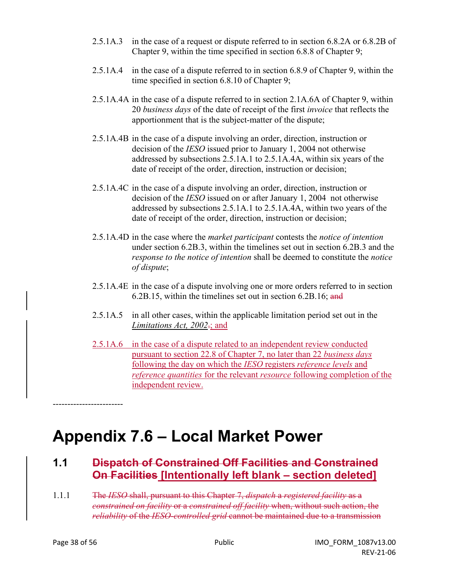- 2.5.1A.3 in the case of a request or dispute referred to in section 6.8.2A or 6.8.2B of Chapter 9, within the time specified in section 6.8.8 of Chapter 9;
- 2.5.1A.4 in the case of a dispute referred to in section 6.8.9 of Chapter 9, within the time specified in section 6.8.10 of Chapter 9;
- 2.5.1A.4A in the case of a dispute referred to in section 2.1A.6A of Chapter 9, within 20 *business days* of the date of receipt of the first *invoice* that reflects the apportionment that is the subject-matter of the dispute;
- 2.5.1A.4B in the case of a dispute involving an order, direction, instruction or decision of the *IESO* issued prior to January 1, 2004 not otherwise addressed by subsections 2.5.1A.1 to 2.5.1A.4A, within six years of the date of receipt of the order, direction, instruction or decision;
- 2.5.1A.4C in the case of a dispute involving an order, direction, instruction or decision of the *IESO* issued on or after January 1, 2004 not otherwise addressed by subsections 2.5.1A.1 to 2.5.1A.4A, within two years of the date of receipt of the order, direction, instruction or decision;
- 2.5.1A.4D in the case where the *market participant* contests the *notice of intention*  under section 6.2B.3, within the timelines set out in section 6.2B.3 and the *response to the notice of intention* shall be deemed to constitute the *notice of dispute*;
- 2.5.1A.4E in the case of a dispute involving one or more orders referred to in section 6.2B.15, within the timelines set out in section 6.2B.16; and
- 2.5.1A.5 in all other cases, within the applicable limitation period set out in the *Limitations Act, 2002*.; and
- 2.5.1A.6 in the case of a dispute related to an independent review conducted pursuant to section 22.8 of Chapter 7, no later than 22 *business days* following the day on which the *IESO* registers *reference levels* and *reference quantities* for the relevant *resource* following completion of the independent review.

# **Appendix 7.6 – Local Market Power**

# **1.1 Dispatch of Constrained Off Facilities and Constrained On Facilities [Intentionally left blank – section deleted]**

1.1.1 The *IESO* shall, pursuant to this Chapter 7, *dispatch* a *registered facility* as a *constrained on facility* or a *constrained off facility* when, without such action, the *reliability* of the *IESO-controlled grid* cannot be maintained due to a transmission

------------------------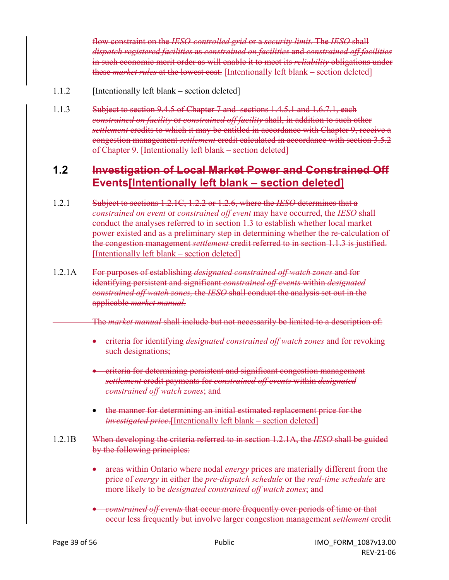flow constraint on the *IESO-controlled grid* or a *security limit.* The *IESO* shall *dispatch registered facilities* as *constrained on facilities* and *constrained off facilities* in such economic merit order as will enable it to meet its *reliability* obligations under these *market rules* at the lowest cost. [Intentionally left blank – section deleted]

- 1.1.2 [Intentionally left blank section deleted]
- 1.1.3 Subject to section 9.4.5 of Chapter 7 and sections 1.4.5.1 and 1.6.7.1, each *constrained on facility* or *constrained off facility* shall, in addition to such other *settlement* credits to which it may be entitled in accordance with Chapter 9, receive a congestion management *settlement* credit calculated in accordance with section 3.5.2 of Chapter 9. [Intentionally left blank – section deleted]

# **1.2 Investigation of Local Market Power and Constrained Off Events[Intentionally left blank – section deleted]**

- 1.2.1 Subject to sections 1.2.1C, 1.2.2 or 1.2.6, where the *IESO* determines that a *constrained on event* or *constrained off event* may have occurred, the *IESO* shall conduct the analyses referred to in section 1.3 to establish whether local market power existed and as a preliminary step in determining whether the re-calculation of the congestion management *settlement* credit referred to in section 1.1.3 is justified. [Intentionally left blank – section deleted]
- 1.2.1A For purposes of establishing *designated constrained off watch zones* and for identifying persistent and significant *constrained off events* within *designated constrained off watch zones,* the *IESO* shall conduct the analysis set out in the applicable *market manual*.

The *market manual* shall include but not necessarily be limited to a description of:

- criteria for identifying *designated constrained off watch zones* and for revoking such designations;
- criteria for determining persistent and significant congestion management *settlement* credit payments for *constrained off events* within *designated constrained off watch zones*; and
- the manner for determining an initial estimated replacement price for the *investigated price*.[Intentionally left blank – section deleted]
- 1.2.1B When developing the criteria referred to in section 1.2.1A, the *IESO* shall be guided by the following principles:
	- areas within Ontario where nodal *energy* prices are materially different from the price of *energy* in either the *pre-dispatch schedule* or the *real-time schedule* are more likely to be *designated constrained off watch zones*; and
	- *constrained off events* that occur more frequently over periods of time or that occur less frequently but involve larger congestion management *settlement* credit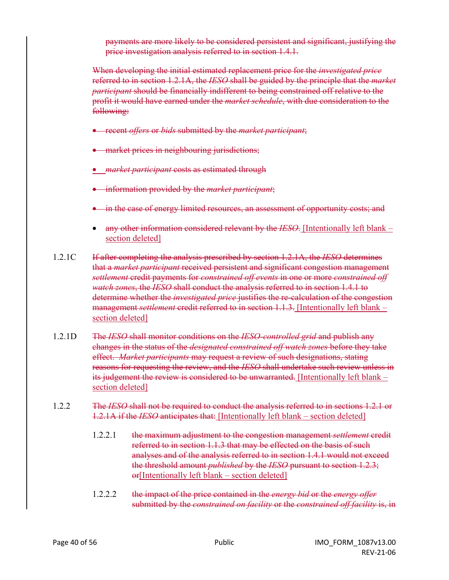payments are more likely to be considered persistent and significant, justifying the price investigation analysis referred to in section 1.4.1.

When developing the initial estimated replacement price for the *investigated price* referred to in section 1.2.1A, the *IESO* shall be guided by the principle that the *market participant* should be financially indifferent to being constrained off relative to the profit it would have earned under the *market schedule*, with due consideration to the following:

- recent *offers* or *bids* submitted by the *market participant*;
- market prices in neighbouring jurisdictions;
- *market participant* costs as estimated through
- information provided by the *market participant*;
- in the case of energy limited resources, an assessment of opportunity costs; and
- any other information considered relevant by the *IESO*. [Intentionally left blank section deleted]
- 1.2.1C If after completing the analysis prescribed by section 1.2.1A, the *IESO* determines that a *market participant* received persistent and significant congestion management *settlement* credit payments for *constrained off events* in one or more *constrained off watch zones*, the *IESO* shall conduct the analysis referred to in section 1.4.1 to determine whether the *investigated price* justifies the re-calculation of the congestion management *settlement* credit referred to in section 1.1.3. [Intentionally left blank – section deleted]
- 1.2.1D The *IESO* shall monitor conditions on the *IESO-controlled grid* and publish any changes in the status of the *designated constrained off watch zones* before they take effect. *Market participants* may request a review of such designations, stating reasons for requesting the review, and the *IESO* shall undertake such review unless in its judgement the review is considered to be unwarranted. [Intentionally left blank – section deleted]
- 1.2.2 The *IESO* shall not be required to conduct the analysis referred to in sections 1.2.1 or 1.2.1A if the *IESO* anticipates that: [Intentionally left blank – section deleted]
	- 1.2.2.1 the maximum adjustment to the congestion management *settlement* credit referred to in section 1.1.3 that may be effected on the basis of such analyses and of the analysis referred to in section 1.4.1 would not exceed the threshold amount *published* by the *IESO* pursuant to section 1.2.3;  $er[Intentionally left blank – section deleted]$
	- 1.2.2.2 the impact of the price contained in the *energy bid* or the *energy offer* submitted by the *constrained on facility* or the *constrained off facility* is, in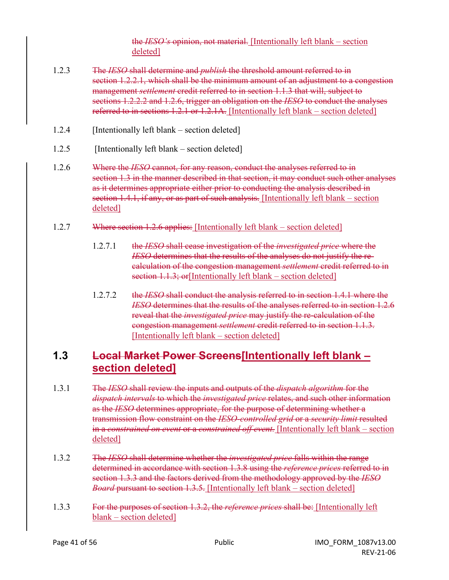the *IESO's* opinion, not material. [Intentionally left blank – section deleted]

- 1.2.3 The *IESO* shall determine and *publish* the threshold amount referred to in section 1.2.2.1, which shall be the minimum amount of an adjustment to a congestion management *settlement* credit referred to in section 1.1.3 that will, subject to sections 1.2.2.2 and 1.2.6, trigger an obligation on the *IESO* to conduct the analyses referred to in sections 1.2.1 or 1.2.1A. [Intentionally left blank – section deleted]
- 1.2.4 [Intentionally left blank section deleted]
- 1.2.5 [Intentionally left blank section deleted]
- 1.2.6 Where the *IESO* cannot, for any reason, conduct the analyses referred to in section 1.3 in the manner described in that section, it may conduct such other analyses as it determines appropriate either prior to conducting the analysis described in section 1.4.1, if any, or as part of such analysis. [Intentionally left blank – section deleted]
- 1.2.7 Where section 1.2.6 applies: [Intentionally left blank section deleted]
	- 1.2.7.1 the *IESO* shall cease investigation of the *investigated price* where the *IESO* determines that the results of the analyses do not justify the recalculation of the congestion management *settlement* credit referred to in section 1.1.3; or [Intentionally left blank – section deleted]
	- 1.2.7.2 the *IESO* shall conduct the analysis referred to in section 1.4.1 where the *IESO* determines that the results of the analyses referred to in section 1.2.6 reveal that the *investigated price* may justify the re-calculation of the congestion management *settlement* credit referred to in section 1.1.3. [Intentionally left blank – section deleted]

# **1.3 Local Market Power Screens[Intentionally left blank – section deleted]**

- 1.3.1 The *IESO* shall review the inputs and outputs of the *dispatch algorithm* for the *dispatch intervals* to which the *investigated price* relates, and such other information as the *IESO* determines appropriate, for the purpose of determining whether a transmission flow constraint on the *IESO-controlled grid* or a *security limit* resulted in a *constrained on event* or a *constrained off event.* [Intentionally left blank – section deleted]
- 1.3.2 The *IESO* shall determine whether the *investigated price* falls within the range determined in accordance with section 1.3.8 using the *reference prices* referred to in section 1.3.3 and the factors derived from the methodology approved by the *IESO Board* pursuant to section 1.3.5. [Intentionally left blank – section deleted]
- 1.3.3 For the purposes of section 1.3.2, the *reference prices* shall be: [Intentionally left blank – section deleted]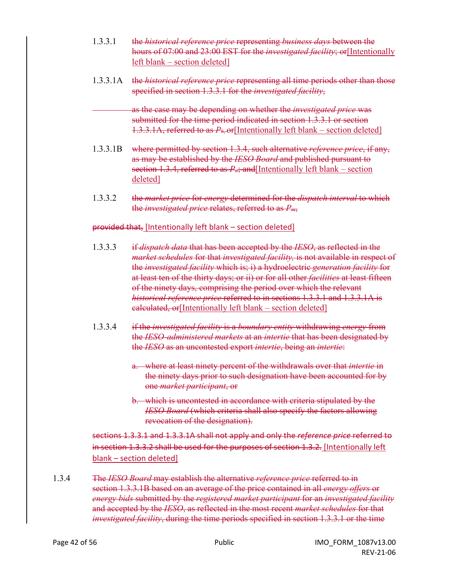- 1.3.3.1 the *historical reference price* representing *business days* between the hours of 07:00 and 23:00 EST for the *investigated facility*; or[Intentionally left blank – section deleted]
- 1.3.3.1A the *historical reference price* representing all time periods other than those specified in section 1.3.3.1 for the *investigated facility*,

as the case may be depending on whether the *investigated price* was submitted for the time period indicated in section 1.3.3.1 or section 1.3.3.1A, referred to as *Ph*, or[Intentionally left blank – section deleted]

- 1.3.3.1B where permitted by section 1.3.4, such alternative *reference price*, if any, as may be established by the *IESO Board* and published pursuant to section 1.3.4, referred to as  $P_{\alpha}$ ; and [Intentionally left blank – section deleted]
- 1.3.3.2 the *market price* for *energy* determined for the *dispatch interval* to which the *investigated price* relates, referred to as *Pm*,

#### provided that, [Intentionally left blank – section deleted]

- 1.3.3.3 if *dispatch data* that has been accepted by the *IESO*, as reflected in the *market schedules* for that *investigated facility,* is not available in respect of the *investigated facility* which is; i) a hydroelectric *generation facility* for at least ten of the thirty days; or ii) or for all other *facilities* at least fifteen of the ninety days, comprising the period over which the relevant *historical reference price* referred to in sections 1.3.3.1 and 1.3.3.1A is calculated, or[Intentionally left blank – section deleted]
- 1.3.3.4 if the *investigated facility* is a *boundary entity* withdrawing *energy* from the *IESO-administered markets* at an *intertie* that has been designated by the *IESO* as an uncontested export *intertie*, being an *intertie*:
	- a. where at least ninety percent of the withdrawals over that *intertie* in the ninety days prior to such designation have been accounted for by one *market participant*, or
	- b. which is uncontested in accordance with criteria stipulated by the *IESO Board* (which criteria shall also specify the factors allowing revocation of the designation).

sections 1.3.3.1 and 1.3.3.1A shall not apply and only the *reference price* referred to in section 1.3.3.2 shall be used for the purposes of section 1.3.2. [Intentionally left blank – section deleted]

1.3.4 The *IESO Board* may establish the alternative *reference price* referred to in section 1.3.3.1B based on an average of the price contained in all *energy offers* or *energy bids* submitted by the *registered market participant* for an *investigated facility* and accepted by the *IESO*, as reflected in the most recent *market schedules* for that *investigated facility*, during the time periods specified in section 1.3.3.1 or the time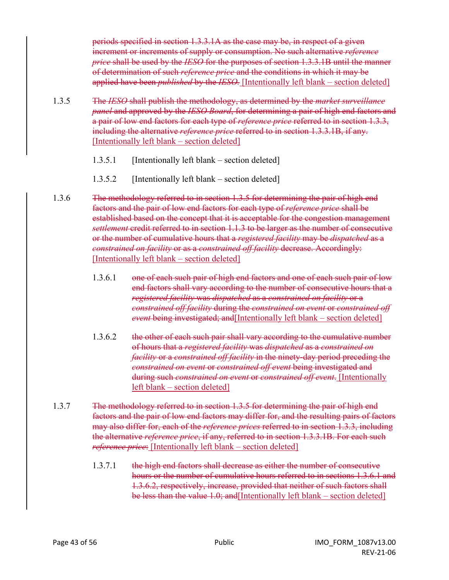periods specified in section 1.3.3.1A as the case may be, in respect of a given increment or increments of supply or consumption. No such alternative *reference price* shall be used by the *IESO* for the purposes of section 1.3.3.1B until the manner of determination of such *reference price* and the conditions in which it may be applied have been *published* by the *IESO.* [Intentionally left blank – section deleted]

1.3.5 The *IESO* shall publish the methodology, as determined by the *market surveillance panel* and approved by the *IESO Board*, for determining a pair of high end factors and a pair of low end factors for each type of *reference price* referred to in section 1.3.3, including the alternative *reference price* referred to in section 1.3.3.1B, if any. [Intentionally left blank – section deleted]

- 1.3.5.1 [Intentionally left blank section deleted]
- 1.3.5.2 [Intentionally left blank section deleted]

1.3.6 The methodology referred to in section 1.3.5 for determining the pair of high end factors and the pair of low end factors for each type of *reference price* shall be established based on the concept that it is acceptable for the congestion management *settlement* credit referred to in section 1.1.3 to be larger as the number of consecutive or the number of cumulative hours that a *registered facility* may be *dispatched* as a *constrained on facility* or as a *constrained off facility* decrease. Accordingly: [Intentionally left blank – section deleted]

- 1.3.6.1 one of each such pair of high end factors and one of each such pair of low end factors shall vary according to the number of consecutive hours that a *registered facility* was *dispatched* as a *constrained on facility* or a *constrained off facility* during the *constrained on event* or *constrained off event* being investigated; and [Intentionally left blank – section deleted]
- 1.3.6.2 the other of each such pair shall vary according to the cumulative number of hours that a *registered facility* was *dispatched* as a *constrained on facility* or a *constrained off facility* in the ninety-day period preceding the *constrained on event* or *constrained off event* being investigated and during such *constrained on event* or *constrained off event*. [Intentionally left blank – section deleted]
- 1.3.7 The methodology referred to in section 1.3.5 for determining the pair of high end factors and the pair of low end factors may differ for, and the resulting pairs of factors may also differ for, each of the *reference prices* referred to in section 1.3.3, including the alternative *reference price*, if any, referred to in section 1.3.3.1B. For each such *reference price*: [Intentionally left blank – section deleted]
	- 1.3.7.1 the high end factors shall decrease as either the number of consecutive hours or the number of cumulative hours referred to in sections 1.3.6.1 and 1.3.6.2, respectively, increase, provided that neither of such factors shall be less than the value 1.0; and [Intentionally left blank – section deleted]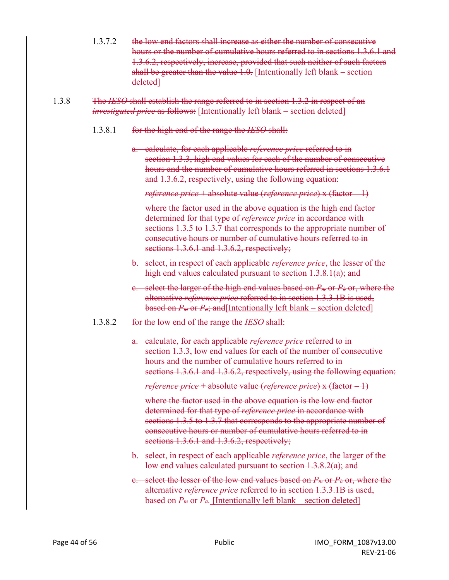- 1.3.7.2 the low end factors shall increase as either the number of consecutive hours or the number of cumulative hours referred to in sections 1.3.6.1 and 1.3.6.2, respectively, increase, provided that such neither of such factors shall be greater than the value 1.0. [Intentionally left blank – section deleted]
- 1.3.8 The *IESO* shall establish the range referred to in section 1.3.2 in respect of an *investigated price* as follows: [Intentionally left blank – section deleted]
	- 1.3.8.1 for the high end of the range the *IESO* shall:
		- a. calculate, for each applicable *reference price* referred to in section 1.3.3, high end values for each of the number of consecutive hours and the number of cumulative hours referred in sections 1.3.6.1 and 1.3.6.2, respectively, using the following equation:

*reference price* + absolute value (*reference price*) x (factor – 1)

where the factor used in the above equation is the high end factor determined for that type of *reference price* in accordance with sections 1.3.5 to 1.3.7 that corresponds to the appropriate number of consecutive hours or number of cumulative hours referred to in sections 1.3.6.1 and 1.3.6.2, respectively;

- b. select, in respect of each applicable *reference price*, the lesser of the high end values calculated pursuant to section 1.3.8.1(a); and
- c. select the larger of the high end values based on *Pm* or *Ph* or, where the alternative *reference price* referred to in section 1.3.3.1B is used, based on *Pm* or *Pa*; and[Intentionally left blank – section deleted]
- 1.3.8.2 for the low end of the range the *IESO* shall:
	- a. calculate, for each applicable *reference price* referred to in section 1.3.3, low end values for each of the number of consecutive hours and the number of cumulative hours referred to in sections 1.3.6.1 and 1.3.6.2, respectively, using the following equation:

*reference price* + absolute value (*reference price*) x (factor – 1)

where the factor used in the above equation is the low end factor determined for that type of *reference price* in accordance with sections 1.3.5 to 1.3.7 that corresponds to the appropriate number of consecutive hours or number of cumulative hours referred to in sections 1.3.6.1 and 1.3.6.2, respectively;

- b. select, in respect of each applicable *reference price*, the larger of the low end values calculated pursuant to section 1.3.8.2(a); and
- c. select the lesser of the low end values based on *Pm* or *Ph* or, where the alternative *reference price* referred to in section 1.3.3.1B is used, based on *Pm* or *Pa.* [Intentionally left blank – section deleted]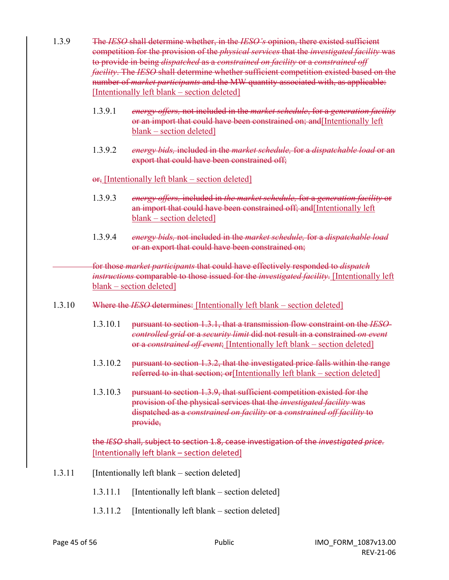- 1.3.9 The *IESO* shall determine whether, in the *IESO's* opinion, there existed sufficient competition for the provision of the *physical services* that the *investigated facility* was to provide in being *dispatched* as a *constrained on facility* or a *constrained off facility*. The *IESO* shall determine whether sufficient competition existed based on the number of *market participants* and the MW quantity associated with, as applicable: [Intentionally left blank – section deleted]
	- 1.3.9.1 *energy offers,* not included in the *market schedule*, for a *generation facility*  or an import that could have been constrained on; and[Intentionally left blank – section deleted]
	- 1.3.9.2 *energy bids,* included in the *market schedule,* for a *dispatchable load* or an export that could have been constrained off;

#### $\overline{or}$ , [Intentionally left blank – section deleted]

- 1.3.9.3 *energy offers,* included in *the market schedule,* for a *generation facility* or an import that could have been constrained off; and[Intentionally left blank – section deleted]
- 1.3.9.4 *energy bids,* not included in the *market schedule,* for a *dispatchable load* or an export that could have been constrained on;

for those *market participants* that could have effectively responded to *dispatch instructions* comparable to those issued for the *investigated facility*. [Intentionally left blank – section deleted]

- 1.3.10 Where the *IESO* determines: [Intentionally left blank section deleted]
	- 1.3.10.1 pursuant to section 1.3.1, that a transmission flow constraint on the *IESOcontrolled grid* or a *security limit* did not result in a constrained *on event*  or a *constrained off event*; [Intentionally left blank – section deleted]
	- 1.3.10.2 pursuant to section 1.3.2, that the investigated price falls within the range referred to in that section; or [Intentionally left blank – section deleted]
	- 1.3.10.3 pursuant to section 1.3.9, that sufficient competition existed for the provision of the physical services that the *investigated facility* was dispatched as a *constrained on facility* or a *constrained off facility* to provide,

the *IESO* shall, subject to section 1.8, cease investigation of the *investigated price.* [Intentionally left blank – section deleted]

- 1.3.11 [Intentionally left blank section deleted]
	- 1.3.11.1 [Intentionally left blank section deleted]
	- 1.3.11.2 [Intentionally left blank section deleted]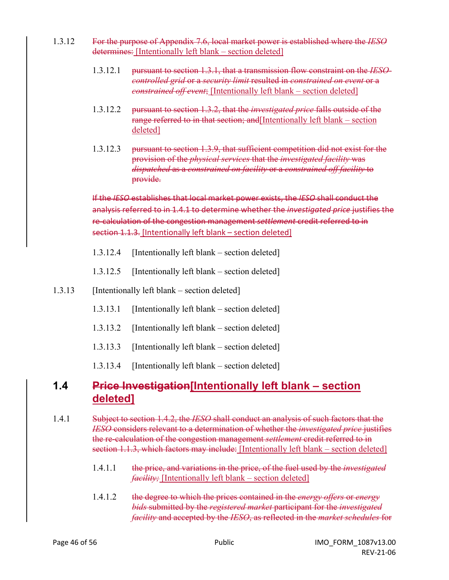- 1.3.12 For the purpose of Appendix 7.6, local market power is established where the *IESO* determines: [Intentionally left blank – section deleted]
	- 1.3.12.1 pursuant to section 1.3.1, that a transmission flow constraint on the *IESOcontrolled grid* or a *security limit* resulted in *constrained on event* or a *constrained off event*; [Intentionally left blank – section deleted]
	- 1.3.12.2 pursuant to section 1.3.2, that the *investigated price* falls outside of the range referred to in that section; and[Intentionally left blank – section deleted]
	- 1.3.12.3 pursuant to section 1.3.9, that sufficient competition did not exist for the provision of the *physical services* that the *investigated facility* was *dispatched* as a *constrained on facility* or a *constrained off facility* to provide.

If the *IESO* establishes that local market power exists, the *IESO* shall conduct the analysis referred to in 1.4.1 to determine whether the *investigated price* justifies the re-calculation of the congestion management *settlement* credit referred to in section 1.1.3. [Intentionally left blank – section deleted]

- 1.3.12.4 [Intentionally left blank section deleted]
- 1.3.12.5 [Intentionally left blank section deleted]
- 1.3.13 [Intentionally left blank section deleted]
	- 1.3.13.1 [Intentionally left blank section deleted]
	- 1.3.13.2 [Intentionally left blank section deleted]
	- 1.3.13.3 [Intentionally left blank section deleted]
	- 1.3.13.4 [Intentionally left blank section deleted]

### **1.4 Price Investigation[Intentionally left blank – section deleted]**

- 1.4.1 Subject to section 1.4.2, the *IESO* shall conduct an analysis of such factors that the *IESO* considers relevant to a determination of whether the *investigated price* justifies the re-calculation of the congestion management *settlement* credit referred to in section 1.1.3, which factors may include: [Intentionally left blank – section deleted]
	- 1.4.1.1 the price, and variations in the price, of the fuel used by the *investigated facility;* [Intentionally left blank – section deleted]
	- 1.4.1.2 the degree to which the prices contained in the *energy offers* or *energy bids* submitted by the *registered market* participant for the *investigated facility* and accepted by the *IESO*, as reflected in the *market schedules* for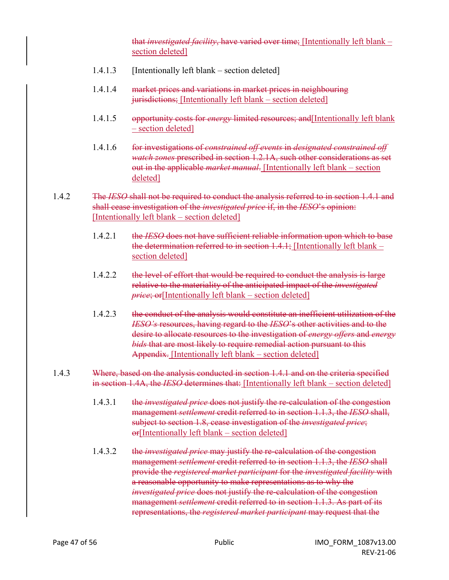that *investigated facility*, have varied over time; [Intentionally left blank – section deleted]

- 1.4.1.3 [Intentionally left blank section deleted]
- 1.4.1.4 market prices and variations in market prices in neighbouring jurisdictions; [Intentionally left blank – section deleted]
- 1.4.1.5 opportunity costs for *energy* limited resources; and[Intentionally left blank – section deleted]
- 1.4.1.6 for investigations of *constrained off events* in *designated constrained off watch zones* prescribed in section 1.2.1A, such other considerations as set out in the applicable *market manual*. [Intentionally left blank – section deleted]

#### 1.4.2 The *IESO* shall not be required to conduct the analysis referred to in section 1.4.1 and shall cease investigation of the *investigated price* if, in the *IESO*'s opinion: [Intentionally left blank – section deleted]

- 1.4.2.1 the *IESO* does not have sufficient reliable information upon which to base the determination referred to in section  $1.4.1$ ; [Intentionally left blank – section deleted]
- 1.4.2.2 the level of effort that would be required to conduct the analysis is large relative to the materiality of the anticipated impact of the *investigated price*; or [Intentionally left blank – section deleted]
- 1.4.2.3 the conduct of the analysis would constitute an inefficient utilization of the *IESO's* resources, having regard to the *IESO*'s other activities and to the desire to allocate resources to the investigation of *energy offers* and *energy bids* that are most likely to require remedial action pursuant to this Appendix. [Intentionally left blank – section deleted]
- 1.4.3 Where, based on the analysis conducted in section 1.4.1 and on the criteria specified in section 1.4A, the *IESO* determines that: [Intentionally left blank – section deleted]
	- 1.4.3.1 the *investigated price* does not justify the re-calculation of the congestion management *settlement* credit referred to in section 1.1.3, the *IESO* shall, subject to section 1.8, cease investigation of the *investigated price*; or[Intentionally left blank – section deleted]
	- 1.4.3.2 the *investigated price* may justify the re-calculation of the congestion management *settlement* credit referred to in section 1.1.3, the *IESO* shall provide the *registered market participant* for the *investigated facility* with a reasonable opportunity to make representations as to why the *investigated price* does not justify the re-calculation of the congestion management *settlement* credit referred to in section 1.1.3. As part of its representations, the *registered market participant* may request that the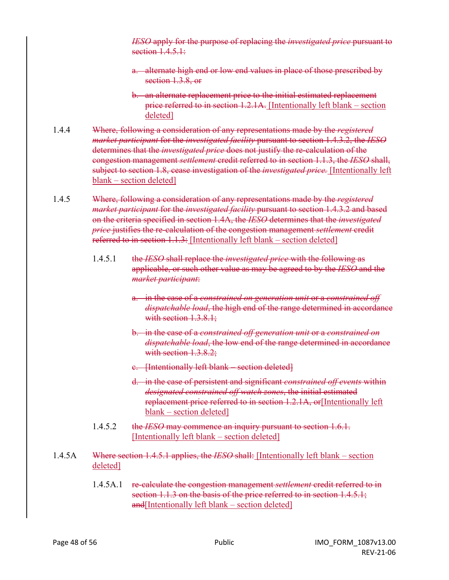*IESO* apply for the purpose of replacing the *investigated price* pursuant to section  $1.4.5.1$ :

- a. alternate high end or low end values in place of those prescribed by section 1.3.8, or
- b. an alternate replacement price to the initial estimated replacement price referred to in section 1.2.1A. [Intentionally left blank – section deleted]
- 1.4.4 Where, following a consideration of any representations made by the *registered market participant* for the *investigated facility* pursuant to section 1.4.3.2, the *IESO* determines that the *investigated price* does not justify the re-calculation of the congestion management *settlement* credit referred to in section 1.1.3, the *IESO* shall, subject to section 1.8, cease investigation of the *investigated price.* [Intentionally left blank – section deleted]
- 1.4.5 Where, following a consideration of any representations made by the *registered market participant* for the *investigated facility* pursuant to section 1.4.3.2 and based on the criteria specified in section 1.4A, the *IESO* determines that the *investigated price* justifies the re-calculation of the congestion management *settlement* credit referred to in section 1.1.3: [Intentionally left blank – section deleted]
	- 1.4.5.1 the *IESO* shall replace the *investigated price* with the following as applicable, or such other value as may be agreed to by the *IESO* and the *market participant*:
		- a. in the case of a *constrained on generation unit* or a *constrained off dispatchable load*, the high end of the range determined in accordance with section 1.3.8.1;
		- b. in the case of a *constrained off generation unit* or a *constrained on dispatchable load*, the low end of the range determined in accordance with section 1.3.8.2:
		- c. [Intentionally left blank section deleted]
		- d. in the case of persistent and significant *constrained off events* within *designated constrained off watch zones*, the initial estimated replacement price referred to in section 1.2.1A, or [Intentionally left] blank – section deleted]
	- 1.4.5.2 the *IESO* may commence an inquiry pursuant to section 1.6.1. [Intentionally left blank – section deleted]
- 1.4.5A Where section 1.4.5.1 applies, the *IESO* shall: [Intentionally left blank section deleted]
	- 1.4.5A.1 re-calculate the congestion management *settlement* credit referred to in section 1.1.3 on the basis of the price referred to in section 1.4.5.1; and[Intentionally left blank – section deleted]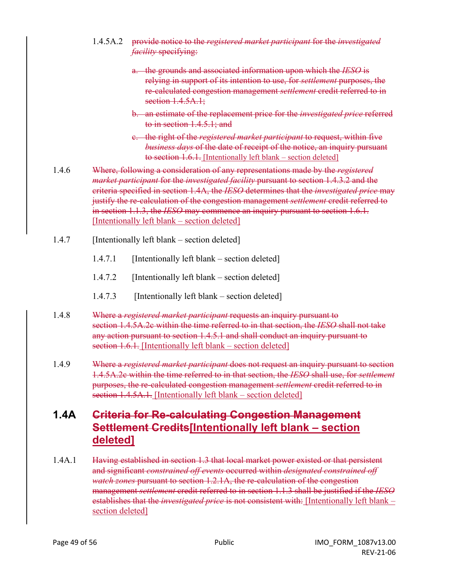- 1.4.5A.2 provide notice to the *registered market participant* for the *investigated facility* specifying:
	- a. the grounds and associated information upon which the *IESO* is relying in support of its intention to use, for *settlement* purposes, the re-calculated congestion management *settlement* credit referred to in section 1.4.5A.1;
	- b. an estimate of the replacement price for the *investigated price* referred to in section 1.4.5.1; and
	- c. the right of the *registered market participant* to request, within five *business days* of the date of receipt of the notice, an inquiry pursuant to section 1.6.1. [Intentionally left blank – section deleted]
- 1.4.6 Where, following a consideration of any representations made by the *registered market participant* for the *investigated facility* pursuant to section 1.4.3.2 and the criteria specified in section 1.4A, the *IESO* determines that the *investigated price* may justify the re-calculation of the congestion management *settlement* credit referred to in section 1.1.3, the *IESO* may commence an inquiry pursuant to section 1.6.1. [Intentionally left blank – section deleted]
- 1.4.7 [Intentionally left blank section deleted]
	- 1.4.7.1 [Intentionally left blank section deleted]
	- 1.4.7.2 [Intentionally left blank section deleted]
	- 1.4.7.3 [Intentionally left blank section deleted]
- 1.4.8 Where a *registered market participant* requests an inquiry pursuant to section 1.4.5A.2c within the time referred to in that section, the *IESO* shall not take any action pursuant to section 1.4.5.1 and shall conduct an inquiry pursuant to section 1.6.1. [Intentionally left blank – section deleted]
- 1.4.9 Where a *registered market participant* does not request an inquiry pursuant to section 1.4.5A.2c within the time referred to in that section, the *IESO* shall use, for *settlement* purposes, the re-calculated congestion management *settlement* credit referred to in section 1.4.5A.1. [Intentionally left blank – section deleted]

# **1.4A Criteria for Re-calculating Congestion Management Settlement Credits[Intentionally left blank – section deleted]**

1.4A.1 Having established in section 1.3 that local market power existed or that persistent and significant *constrained off events* occurred within *designated constrained off watch zones* pursuant to section 1.2.1A, the re-calculation of the congestion management *settlement* credit referred to in section 1.1.3 shall be justified if the *IESO* establishes that the *investigated price* is not consistent with: [Intentionally left blank – section deleted]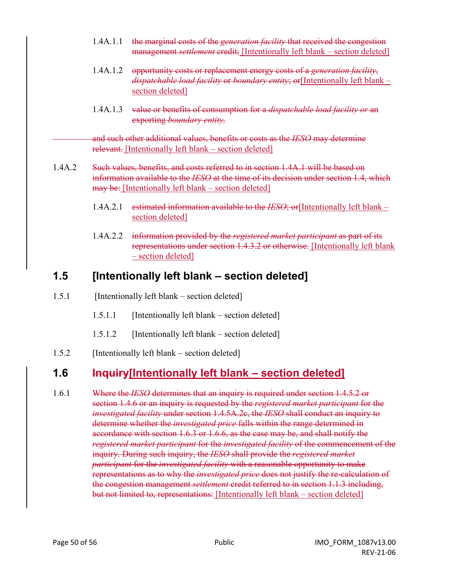- 1.4A.1.1 the marginal costs of the *generation facility* that received the congestion management *settlement* credit; [Intentionally left blank – section deleted]
- 1.4A.1.2 opportunity costs or replacement energy costs of a *generation facility*, *dispatchable load facility* or *boundary entity*; or[Intentionally left blank – section deleted]
- 1.4A.1.3 value or benefits of consumption for a *dispatchable load facility or* an exporting *boundary entity,*

and such other additional values, benefits or costs as the *IESO* may determine relevant. [Intentionally left blank – section deleted]

- 1.4A.2 Such values, benefits, and costs referred to in section 1.4A.1 will be based on information available to the *IESO* at the time of its decision under section 1.4, which may be: [Intentionally left blank – section deleted]
	- 1.4A.2.1 estimated information available to the *IESO*; or[Intentionally left blank section deleted]
	- 1.4A.2.2 information provided by the *registered market participant* as part of its representations under section 1.4.3.2 or otherwise. [Intentionally left blank – section deleted]

# **1.5 [Intentionally left blank – section deleted]**

1.5.1 [Intentionally left blank – section deleted]

- 1.5.1.1 [Intentionally left blank section deleted]
- 1.5.1.2 [Intentionally left blank section deleted]
- 1.5.2 [Intentionally left blank section deleted]

# **1.6 Inquiry[Intentionally left blank – section deleted]**

1.6.1 Where the *IESO* determines that an inquiry is required under section 1.4.5.2 or section 1.4.6 or an inquiry is requested by the *registered market participant* for the *investigated facility* under section 1.4.5A.2c, the *IESO* shall conduct an inquiry to determine whether the *investigated price* falls within the range determined in accordance with section 1.6.3 or 1.6.6, as the case may be, and shall notify the *registered market participant* for the *investigated facility* of the commencement of the inquiry. During such inquiry, the *IESO* shall provide the *registered market participant* for the *investigated facility* with a reasonable opportunity to make representations as to why the *investigated price* does not justify the re-calculation of the congestion management *settlement* credit referred to in section 1.1.3 including, but not limited to, representations: [Intentionally left blank – section deleted]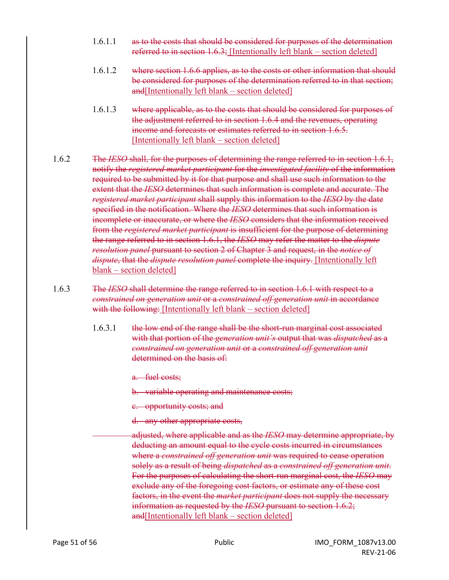- 1.6.1.1 as to the costs that should be considered for purposes of the determination referred to in section 1.6.3; [Intentionally left blank – section deleted]
- 1.6.1.2 where section 1.6.6 applies, as to the costs or other information that should be considered for purposes of the determination referred to in that section;  $and[Intentionally left blank – section deleted]$
- 1.6.1.3 where applicable, as to the costs that should be considered for purposes of the adjustment referred to in section 1.6.4 and the revenues, operating income and forecasts or estimates referred to in section 1.6.5. [Intentionally left blank – section deleted]
- 1.6.2 The *IESO* shall, for the purposes of determining the range referred to in section 1.6.1, notify the *registered market participant* for the *investigated facility* of the information required to be submitted by it for that purpose and shall use such information to the extent that the *IESO* determines that such information is complete and accurate. The *registered market participant* shall supply this information to the *IESO* by the date specified in the notification. Where the *IESO* determines that such information is incomplete or inaccurate, or where the *IESO* considers that the information received from the *registered market participant* is insufficient for the purpose of determining the range referred to in section 1.6.1, the *IESO* may refer the matter to the *dispute resolution panel* pursuant to section 2 of Chapter 3 and request, in the *notice of dispute*, that the *dispute resolution panel* complete the inquiry. [Intentionally left blank – section deleted]
- 1.6.3 The *IESO* shall determine the range referred to in section 1.6.1 with respect to a *constrained on generation unit* or a *constrained off generation unit* in accordance with the following: [Intentionally left blank – section deleted]
	- 1.6.3.1 the low end of the range shall be the short-run marginal cost associated with that portion of the *generation unit's* output that was *dispatched* as a *constrained on generation unit* or a *constrained off generation unit*  determined on the basis of:

a. fuel costs;

b. variable operating and maintenance costs;

- c. opportunity costs; and
- d. any other appropriate costs,
- adjusted, where applicable and as the *IESO* may determine appropriate, by deducting an amount equal to the cycle costs incurred in circumstances where a *constrained off generation unit* was required to cease operation solely as a result of being *dispatched* as a *constrained off generation unit*. For the purposes of calculating the short-run marginal cost, the *IESO* may exclude any of the foregoing cost factors, or estimate any of these cost factors, in the event the *market participant* does not supply the necessary information as requested by the *IESO* pursuant to section 1.6.2; and[Intentionally left blank – section deleted]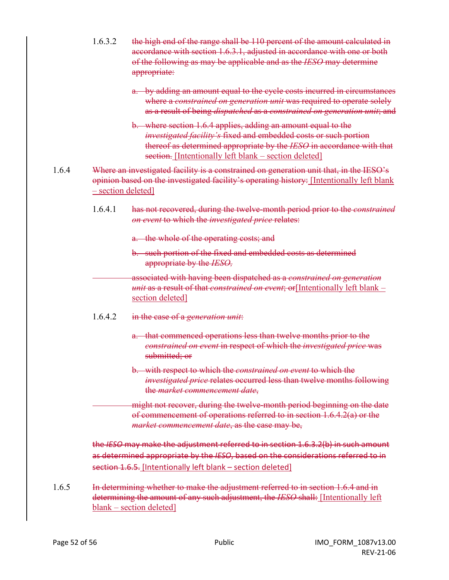| 1.6.3.2            | the high end of the range shall be 110 percent of the amount calculated in<br>accordance with section 1.6.3.1, adjusted in accordance with one or both<br>of the following as may be applicable and as the IESO may determine<br>appropriate:                       |
|--------------------|---------------------------------------------------------------------------------------------------------------------------------------------------------------------------------------------------------------------------------------------------------------------|
|                    | a. by adding an amount equal to the cycle costs incurred in circumstances<br>where a constrained on generation unit was required to operate solely<br>as a result of being dispatched as a constrained on generation unit; and                                      |
|                    | b. where section 1.6.4 applies, adding an amount equal to the<br>investigated facility's fixed and embedded costs or such portion<br>thereof as determined appropriate by the IESO in accordance with that<br>section. [Intentionally left blank - section deleted] |
| - section deleted] | Where an investigated facility is a constrained on generation unit that, in the IESO's<br>opinion based on the investigated facility's operating history: [Intentionally left blank                                                                                 |
| 1.6.4.1            | has not recovered, during the twelve-month period prior to the constrained<br>on event to which the investigated price relates:                                                                                                                                     |
|                    | a. the whole of the operating costs; and                                                                                                                                                                                                                            |
|                    | b. such portion of the fixed and embedded costs as determined<br>appropriate by the IESO,                                                                                                                                                                           |
|                    | associated with having been dispatched as a constrained on generation<br>unit as a result of that constrained on event; or [Intentionally left blank -<br>section deleted]                                                                                          |
| 1.6.4.2            | in the case of a generation unit:                                                                                                                                                                                                                                   |
|                    | a. that commenced operations less than twelve months prior to the<br>constrained on event in respect of which the investigated price was<br>submitted; or                                                                                                           |
|                    | b. with respect to which the <i>constrained on event</i> to which the<br><i>investigated price relates occurred less than twelve months following</i><br>the market commencement date,                                                                              |
|                    | might not recover, during the twelve-month period beginning on the date<br>of commencement of operations referred to in section 1.6.4.2(a) or the<br>market commencement date, as the case may be,                                                                  |
|                    | the IESO may make the adjustment referred to in section 1.6.3.2(b) in such amount<br>as determined appropriate by the IESO, based on the considerations referred to in<br>section 1.6.5. [Intentionally left blank - section deleted]                               |
|                    | In determining whether to make the adjustment referred to in section 1.6.4 and in                                                                                                                                                                                   |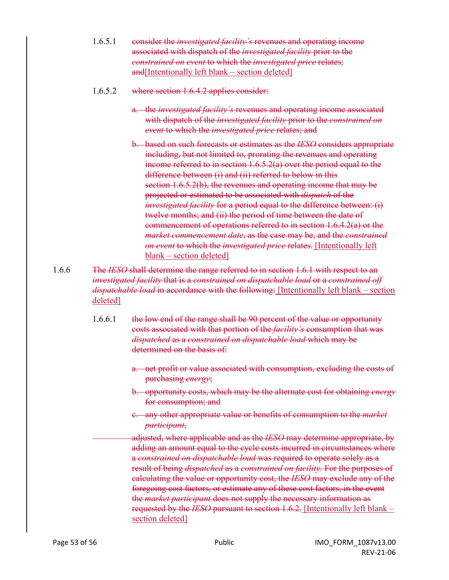- 1.6.5.1 consider the *investigated facility's* revenues and operating income associated with dispatch of the *investigated facility* prior to the *constrained on event* to which the *investigated price* relates; and[Intentionally left blank – section deleted]
- 1.6.5.2 where section 1.6.4.2 applies consider:
	- a. the *investigated facility's* revenues and operating income associated with dispatch of the *investigated facility* prior to the *constrained on event* to which the *investigated price* relates; and
	- b. based on such forecasts or estimates as the *IESO* considers appropriate including, but not limited to, prorating the revenues and operating income referred to in section 1.6.5.2(a) over the period equal to the difference between (i) and (ii) referred to below in this section 1.6.5.2(b), the revenues and operating income that may be projected or estimated to be associated with *dispatch* of the *investigated facility* for a period equal to the difference between: (i) twelve months; and (ii) the period of time between the date of commencement of operations referred to in section 1.6.4.2(a) or the *market commencement date*, as the case may be, and the *constrained on event* to which the *investigated price* relates. [Intentionally left blank – section deleted]
- 1.6.6 The *IESO* shall determine the range referred to in section 1.6.1 with respect to an *investigated facility* that is a *constrained on dispatchable load* or a *constrained off dispatchable load* in accordance with the following: [Intentionally left blank – section deleted]
	- 1.6.6.1 the low end of the range shall be 90 percent of the value or opportunity costs associated with that portion of the *facility's* consumption that was *dispatched* as a *constrained on dispatchable load* which may be determined on the basis of:
		- a. net profit or value associated with consumption, excluding the costs of purchasing *energy*;
		- b. opportunity costs, which may be the alternate cost for obtaining *energy* for consumption; and
		- c. any other appropriate value or benefits of consumption to the *market participant*,
		- adjusted, where applicable and as the *IESO* may determine appropriate, by adding an amount equal to the cycle costs incurred in circumstances where a *constrained on dispatchable load* was required to operate solely as a result of being *dispatched* as a *constrained on facility.* For the purposes of calculating the value or opportunity cost, the *IESO* may exclude any of the foregoing cost factors, or estimate any of these cost factors, in the event the *market participant* does not supply the necessary information as requested by the *IESO* pursuant to section 1.6.2. [Intentionally left blank – section deleted]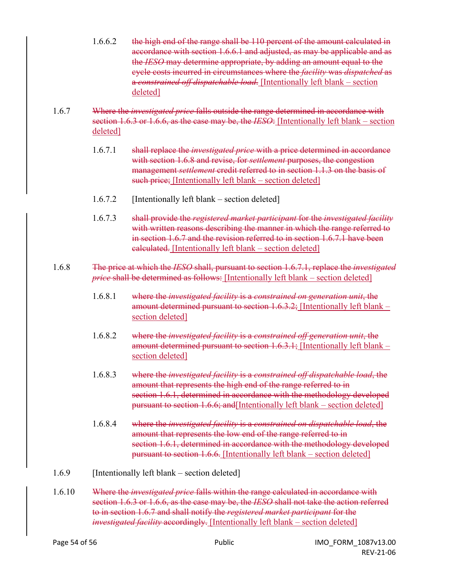- 1.6.6.2 the high end of the range shall be 110 percent of the amount calculated in accordance with section 1.6.6.1 and adjusted, as may be applicable and as the *IESO* may determine appropriate, by adding an amount equal to the cycle costs incurred in circumstances where the *facility* was *dispatched* as a *constrained off dispatchable load*. [Intentionally left blank – section deleted]
- 1.6.7 Where the *investigated price* falls outside the range determined in accordance with section 1.6.3 or 1.6.6, as the case may be, the *IESO*: [Intentionally left blank – section deleted]
	- 1.6.7.1 shall replace the *investigated price* with a price determined in accordance with section 1.6.8 and revise, for *settlement* purposes, the congestion management *settlement* credit referred to in section 1.1.3 on the basis of such price; [Intentionally left blank – section deleted]
	- 1.6.7.2 [Intentionally left blank section deleted]
	- 1.6.7.3 shall provide the *registered market participant* for the *investigated facility* with written reasons describing the manner in which the range referred to in section 1.6.7 and the revision referred to in section 1.6.7.1 have been calculated. [Intentionally left blank – section deleted]
- 1.6.8 The price at which the *IESO* shall, pursuant to section 1.6.7.1, replace the *investigated price* shall be determined as follows: [Intentionally left blank – section deleted]
	- 1.6.8.1 where the *investigated facility* is a *constrained on generation unit*, the amount determined pursuant to section 1.6.3.2; [Intentionally left blank – section deleted]
	- 1.6.8.2 where the *investigated facility* is a *constrained off generation unit*, the amount determined pursuant to section 1.6.3.1; [Intentionally left blank – section deleted]
	- 1.6.8.3 where the *investigated facility* is a *constrained off dispatchable load*, the amount that represents the high end of the range referred to in section 1.6.1, determined in accordance with the methodology developed pursuant to section 1.6.6; and[Intentionally left blank – section deleted]
	- 1.6.8.4 where the *investigated facility* is a *constrained on dispatchable load*, the amount that represents the low end of the range referred to in section 1.6.1, determined in accordance with the methodology developed pursuant to section 1.6.6. [Intentionally left blank – section deleted]
- 1.6.9 [Intentionally left blank section deleted]
- 1.6.10 Where the *investigated price* falls within the range calculated in accordance with section 1.6.3 or 1.6.6, as the case may be, the *IESO* shall not take the action referred to in section 1.6.7 and shall notify the *registered market participant* for the *investigated facility* accordingly. [Intentionally left blank – section deleted]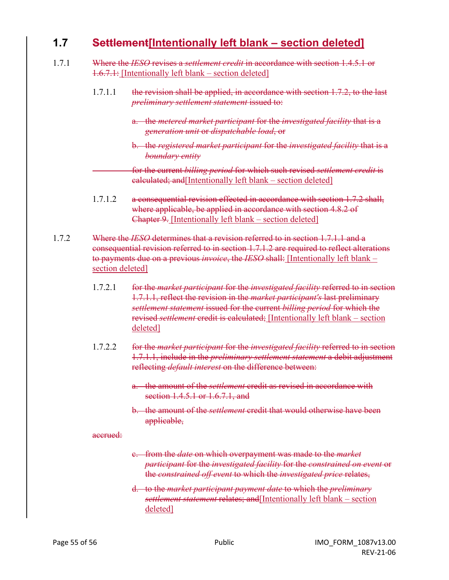### **1.7 Settlement[Intentionally left blank – section deleted]**

- 1.7.1 Where the *IESO* revises a *settlement credit* in accordance with section 1.4.5.1 or 1.6.7.1: [Intentionally left blank – section deleted]
	- 1.7.1.1 the revision shall be applied, in accordance with section 1.7.2, to the last *preliminary settlement statement* issued to:
		- a. the *metered market participant* for the *investigated facility* that is a *generation unit* or *dispatchable load*, or
		- b. the *registered market participant* for the *investigated facility* that is a *boundary entity*
		- for the current *billing period* for which such revised *settlement credit* is calculated; and[Intentionally left blank – section deleted]
	- 1.7.1.2 a consequential revision effected in accordance with section 1.7.2 shall, where applicable, be applied in accordance with section 4.8.2 of Chapter 9. [Intentionally left blank – section deleted]
- 1.7.2 Where the *IESO* determines that a revision referred to in section 1.7.1.1 and a consequential revision referred to in section 1.7.1.2 are required to reflect alterations to payments due on a previous *invoice*, the *IESO* shall: [Intentionally left blank – section deleted]
	- 1.7.2.1 for the *market participant* for the *investigated facility* referred to in section 1.7.1.1, reflect the revision in the *market participant's* last preliminary *settlement statement* issued for the current *billing period* for which the revised *settlement* credit is calculated; [Intentionally left blank – section deleted]
	- 1.7.2.2 for the *market participant* for the *investigated facility* referred to in section 1.7.1.1, include in the *preliminary settlement statement* a debit adjustment reflecting *default interest* on the difference between:
		- a. the amount of the *settlement* credit as revised in accordance with section 1.4.5.1 or 1.6.7.1, and
		- b. the amount of the *settlement* credit that would otherwise have been applicable,

#### accrued:

- c. from the *date* on which overpayment was made to the *market participant* for the *investigated facility* for the *constrained on event* or the *constrained off event* to which the *investigated price* relates,
- d. to the *market participant payment date* to which the *preliminary settlement statement* relates; and[Intentionally left blank – section deleted]